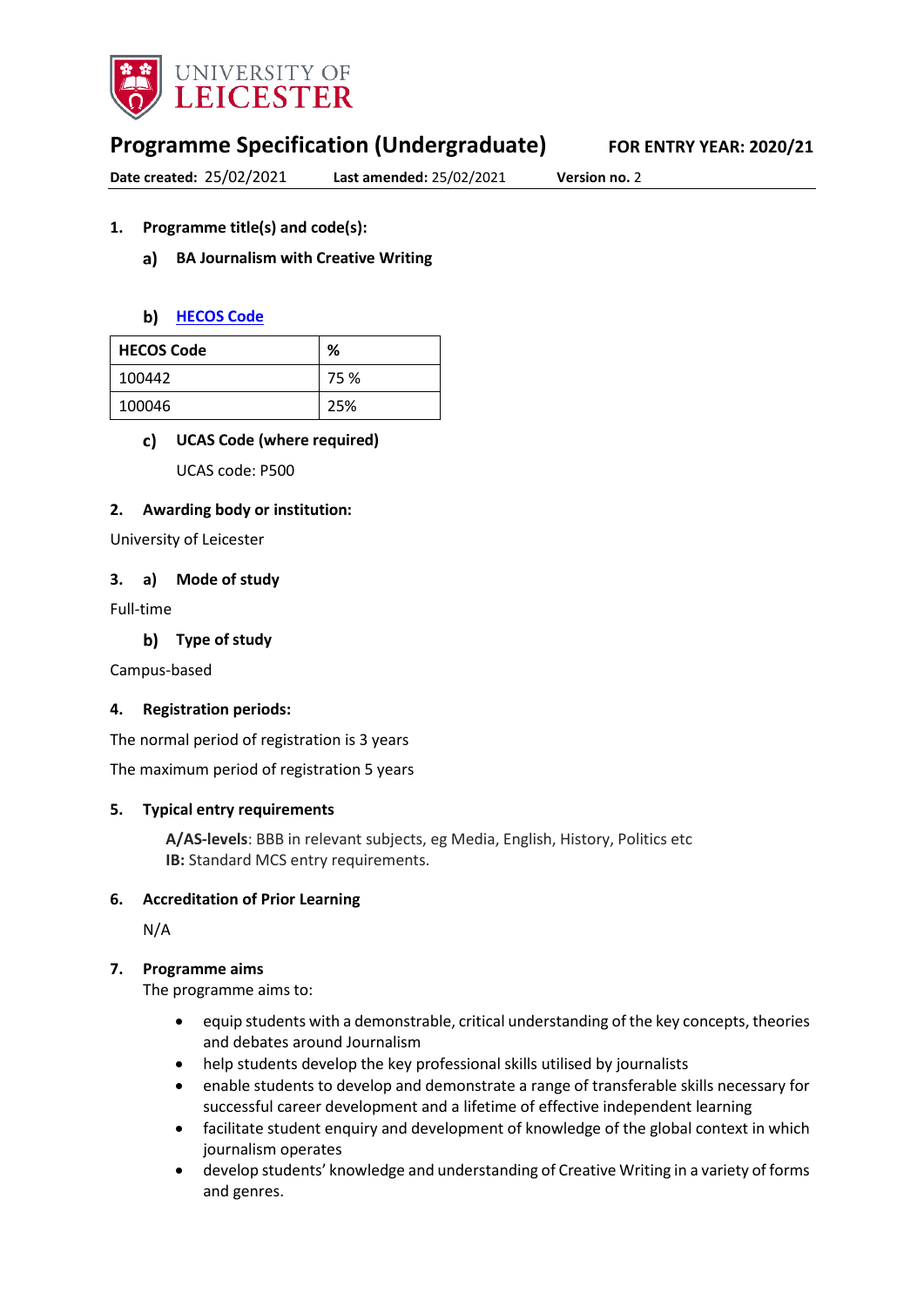

# **Programme Specification (Undergraduate) FOR ENTRY YEAR: 2020/21**

**Date created:** 25/02/2021 **Last amended:** 25/02/2021 **Version no.** 2

#### **1. Programme title(s) and code(s):**

#### **BA Journalism with Creative Writing**

#### **b)** [HECOS Code](https://www.hesa.ac.uk/innovation/hecos)

| <b>HECOS Code</b> | %    |
|-------------------|------|
| 100442            | 75 % |
| 100046            | 25%  |

#### **UCAS Code (where required)**

UCAS code: P500

#### **2. Awarding body or institution:**

University of Leicester

#### **3. a) Mode of study**

Full-time

**Type of study**

Campus-based

#### **4. Registration periods:**

The normal period of registration is 3 years

The maximum period of registration 5 years

#### **5. Typical entry requirements**

**A/AS-levels**: BBB in relevant subjects, eg Media, English, History, Politics etc **IB:** Standard MCS entry requirements.

#### **6. Accreditation of Prior Learning**

N/A

#### **7. Programme aims**

The programme aims to:

- equip students with a demonstrable, critical understanding of the key concepts, theories and debates around Journalism
- help students develop the key professional skills utilised by journalists
- enable students to develop and demonstrate a range of transferable skills necessary for successful career development and a lifetime of effective independent learning
- facilitate student enquiry and development of knowledge of the global context in which journalism operates
- develop students' knowledge and understanding of Creative Writing in a variety of forms and genres.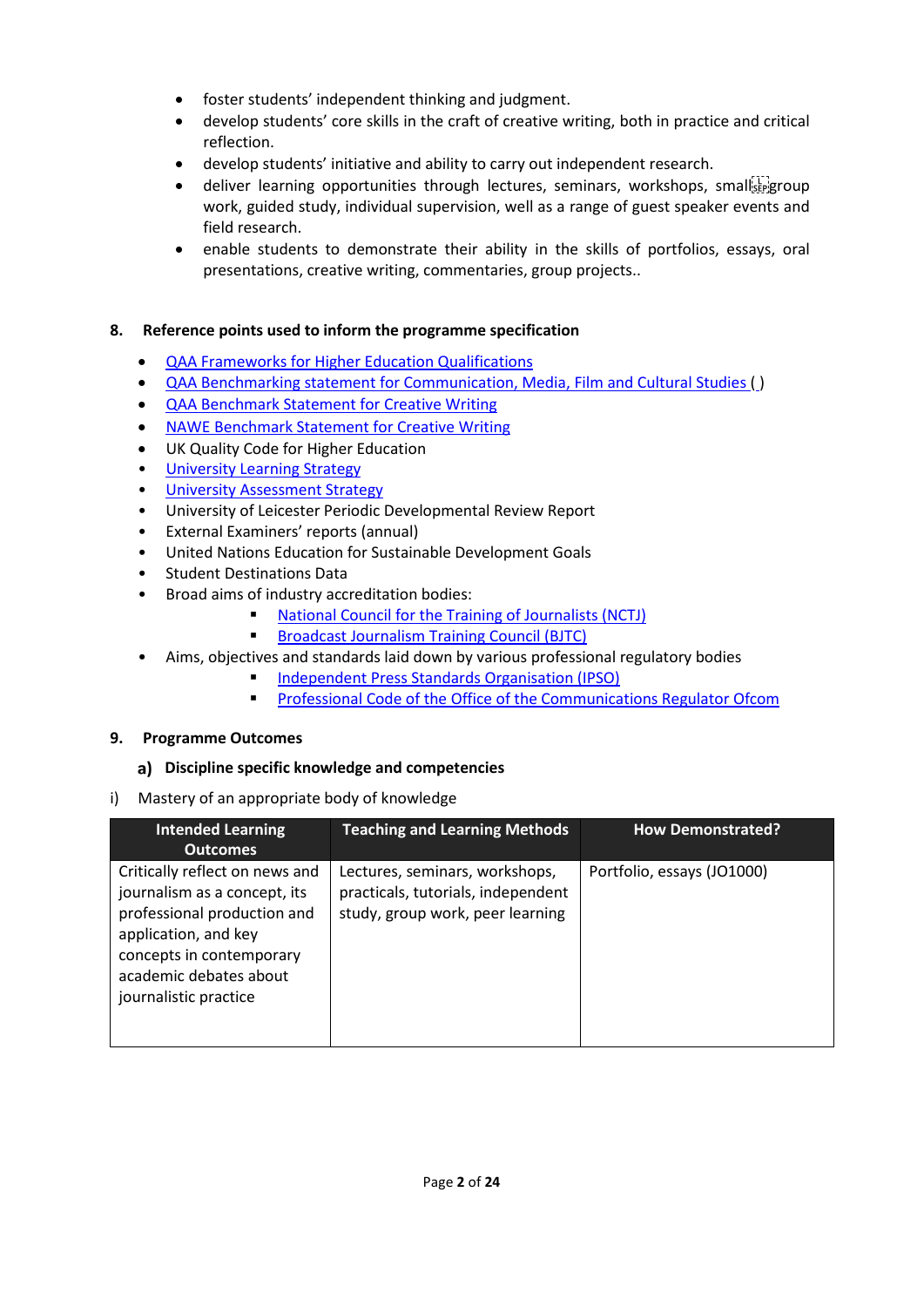- foster students' independent thinking and judgment.
- develop students' core skills in the craft of creative writing, both in practice and critical reflection.
- develop students' initiative and ability to carry out independent research.
- $\bullet$  deliver learning opportunities through lectures, seminars, workshops, small  $\frac{1}{2}$ work, guided study, individual supervision, well as a range of guest speaker events and field research.
- enable students to demonstrate their ability in the skills of portfolios, essays, oral presentations, creative writing, commentaries, group projects..

### **8. Reference points used to inform the programme specification**

- [QAA Frameworks for Higher Education Qualifications](http://www.qaa.ac.uk/en/Publications/Documents/qualifications-frameworks.pdf)
- [QAA Benchmarking statement for Communication, Media, Film and Cultural Studies \(](http://www.qaa.ac.uk/en/Publications/Documents/SBS-Communication-Media-Film-and-Cultural-Studies-16.pdf)[\)](http://www.qaa.ac.uk/en/Publications/Documents/SBS-Communication-Media-Film-and-Cultural-Studies-16.pdf)
- [QAA Benchmark Statement for Creative Writing](http://www.qaa.ac.uk/docs/qaa/subject-benchmark-statements/sbs-creative-writing-16.pdf)
- [NAWE Benchmark Statement for Creative Writing](file://UOL/root/Departments/Student%20and%20Academic%20Services/Quality%20Office/Curriculum%20Change/2021-22%20(Nov%20and%20Dec%202020)/CSSAH/MCS/Accessible%20Specs/%E2%80%A2%09http:/www.nawe.co.uk/writing-in-education/writing-at-university/research.html)
- UK Quality Code for Higher Education
- University Learnin[g Strategy](https://www2.le.ac.uk/offices/sas2/quality/learnteach)
- [University Assessment Strategy](https://www2.le.ac.uk/offices/sas2/quality/learnteach)
- University of Leicester Periodic Developmental Review Report
- External Examiners' reports (annual)
- United Nations Education for Sustainable Development Goals
- Student Destinations Data
- Broad aims of industry accreditation bodies:
	- [National Council for the Training of Journalists \(NCTJ\)](http://www.nctj.com/)
	- **Broadcast Journalism Training Council (BJTC)**
- Aims, objectives and standards laid down by various professional regulatory bodies
	- [Independent Press Standards Organisation \(IPSO\)](file://UOL/root/Departments/Student%20and%20Academic%20Services/Quality%20Office/Curriculum%20Change/2021-22%20(Nov%20and%20Dec%202020)/CSSAH/MCS/Accessible%20Specs/%E2%80%A2%09https:/www.ipso.co.uk/editors-code-of-practice/)
	- **[Professional Code of the Office of the Communications Regulator Ofcom](file://UOL/root/Departments/Student%20and%20Academic%20Services/Quality%20Office/Curriculum%20Change/2021-22%20(Nov%20and%20Dec%202020)/CSSAH/MCS/Accessible%20Specs/%E2%80%A2%09%20https:/www.ofcom.org.uk/tv-radio-and-on-demand/broadcast-codes/broadcast-code)**

#### **9. Programme Outcomes**

#### **Discipline specific knowledge and competencies**

i) Mastery of an appropriate body of knowledge

| <b>Intended Learning</b>                                                                                                                                                                             | <b>Teaching and Learning Methods</b>                                                                     | <b>How Demonstrated?</b>   |
|------------------------------------------------------------------------------------------------------------------------------------------------------------------------------------------------------|----------------------------------------------------------------------------------------------------------|----------------------------|
| <b>Outcomes</b>                                                                                                                                                                                      |                                                                                                          |                            |
| Critically reflect on news and<br>journalism as a concept, its<br>professional production and<br>application, and key<br>concepts in contemporary<br>academic debates about<br>journalistic practice | Lectures, seminars, workshops,<br>practicals, tutorials, independent<br>study, group work, peer learning | Portfolio, essays (JO1000) |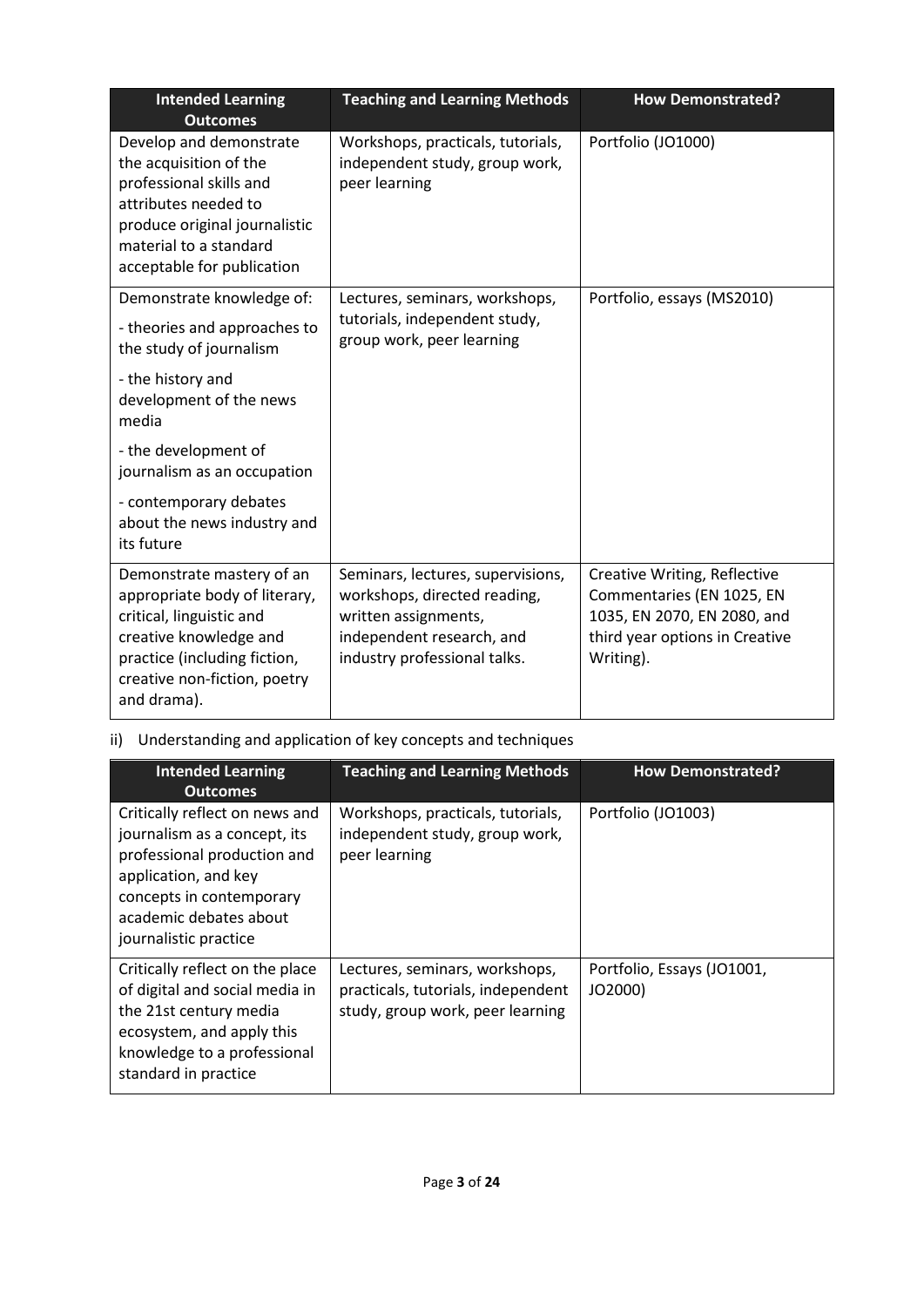| <b>Intended Learning</b><br><b>Outcomes</b>                                                                                                                                                     | <b>Teaching and Learning Methods</b>                                                                                                                   | <b>How Demonstrated?</b>                                                                                                                |
|-------------------------------------------------------------------------------------------------------------------------------------------------------------------------------------------------|--------------------------------------------------------------------------------------------------------------------------------------------------------|-----------------------------------------------------------------------------------------------------------------------------------------|
| Develop and demonstrate<br>the acquisition of the<br>professional skills and<br>attributes needed to<br>produce original journalistic<br>material to a standard<br>acceptable for publication   | Workshops, practicals, tutorials,<br>independent study, group work,<br>peer learning                                                                   | Portfolio (JO1000)                                                                                                                      |
| Demonstrate knowledge of:                                                                                                                                                                       | Lectures, seminars, workshops,<br>tutorials, independent study,                                                                                        | Portfolio, essays (MS2010)                                                                                                              |
| - theories and approaches to<br>the study of journalism                                                                                                                                         | group work, peer learning                                                                                                                              |                                                                                                                                         |
| - the history and<br>development of the news<br>media                                                                                                                                           |                                                                                                                                                        |                                                                                                                                         |
| - the development of<br>journalism as an occupation                                                                                                                                             |                                                                                                                                                        |                                                                                                                                         |
| - contemporary debates<br>about the news industry and<br>its future                                                                                                                             |                                                                                                                                                        |                                                                                                                                         |
| Demonstrate mastery of an<br>appropriate body of literary,<br>critical, linguistic and<br>creative knowledge and<br>practice (including fiction,<br>creative non-fiction, poetry<br>and drama). | Seminars, lectures, supervisions,<br>workshops, directed reading,<br>written assignments,<br>independent research, and<br>industry professional talks. | Creative Writing, Reflective<br>Commentaries (EN 1025, EN<br>1035, EN 2070, EN 2080, and<br>third year options in Creative<br>Writing). |

# ii) Understanding and application of key concepts and techniques

| <b>Intended Learning</b><br><b>Outcomes</b>                                                                                                                                                          | <b>Teaching and Learning Methods</b>                                                                     | <b>How Demonstrated?</b>              |
|------------------------------------------------------------------------------------------------------------------------------------------------------------------------------------------------------|----------------------------------------------------------------------------------------------------------|---------------------------------------|
| Critically reflect on news and<br>journalism as a concept, its<br>professional production and<br>application, and key<br>concepts in contemporary<br>academic debates about<br>journalistic practice | Workshops, practicals, tutorials,<br>independent study, group work,<br>peer learning                     | Portfolio (JO1003)                    |
| Critically reflect on the place<br>of digital and social media in<br>the 21st century media<br>ecosystem, and apply this<br>knowledge to a professional<br>standard in practice                      | Lectures, seminars, workshops,<br>practicals, tutorials, independent<br>study, group work, peer learning | Portfolio, Essays (JO1001,<br>JO2000) |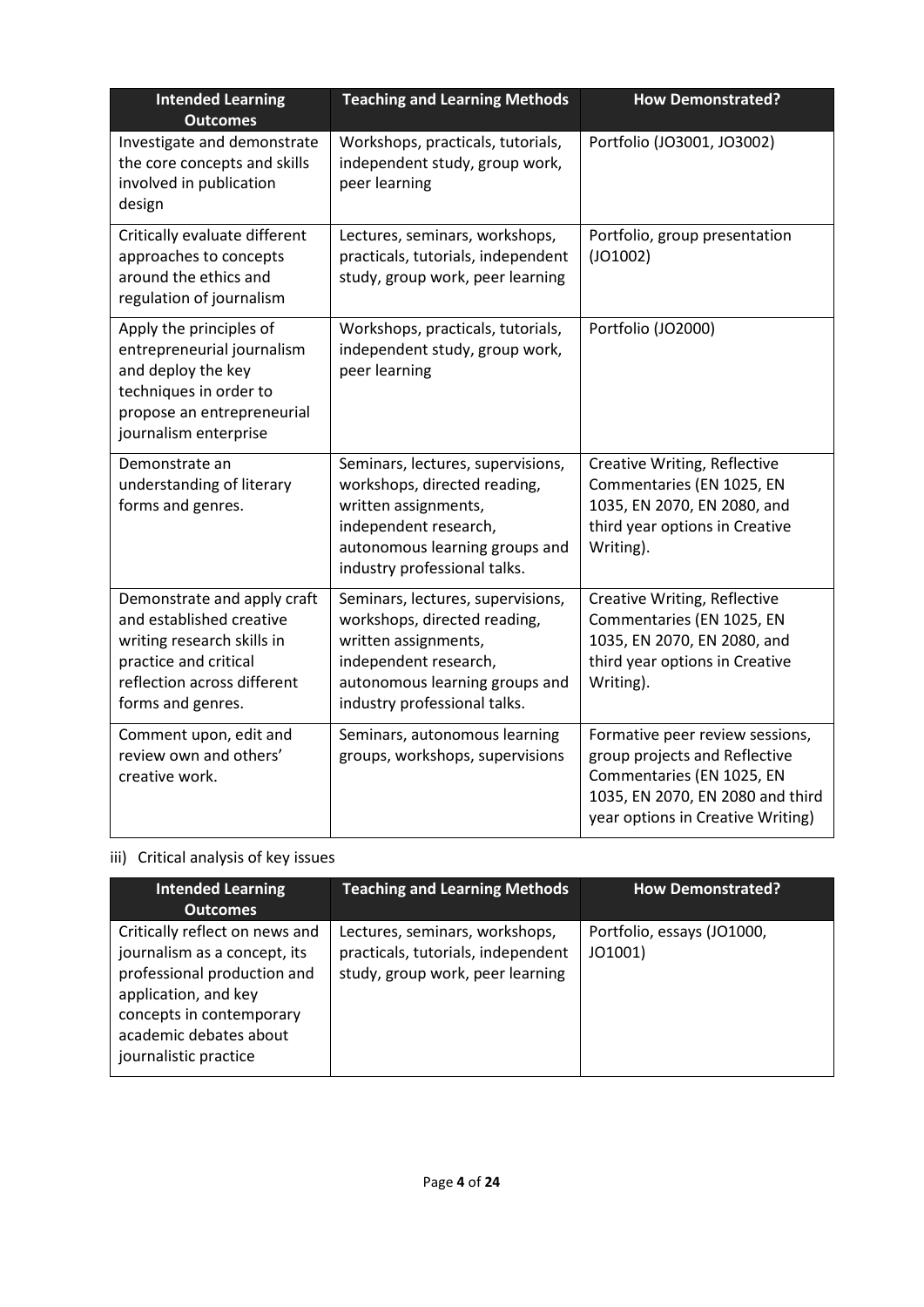| <b>Intended Learning</b><br><b>Outcomes</b>                                                                                                                        | <b>Teaching and Learning Methods</b>                                                                                                                                                 | <b>How Demonstrated?</b>                                                                                                                                               |
|--------------------------------------------------------------------------------------------------------------------------------------------------------------------|--------------------------------------------------------------------------------------------------------------------------------------------------------------------------------------|------------------------------------------------------------------------------------------------------------------------------------------------------------------------|
| Investigate and demonstrate<br>the core concepts and skills<br>involved in publication<br>design                                                                   | Workshops, practicals, tutorials,<br>independent study, group work,<br>peer learning                                                                                                 | Portfolio (JO3001, JO3002)                                                                                                                                             |
| Critically evaluate different<br>approaches to concepts<br>around the ethics and<br>regulation of journalism                                                       | Lectures, seminars, workshops,<br>practicals, tutorials, independent<br>study, group work, peer learning                                                                             | Portfolio, group presentation<br>(JO1002)                                                                                                                              |
| Apply the principles of<br>entrepreneurial journalism<br>and deploy the key<br>techniques in order to<br>propose an entrepreneurial<br>journalism enterprise       | Workshops, practicals, tutorials,<br>independent study, group work,<br>peer learning                                                                                                 | Portfolio (JO2000)                                                                                                                                                     |
| Demonstrate an<br>understanding of literary<br>forms and genres.                                                                                                   | Seminars, lectures, supervisions,<br>workshops, directed reading,<br>written assignments,<br>independent research,<br>autonomous learning groups and<br>industry professional talks. | Creative Writing, Reflective<br>Commentaries (EN 1025, EN<br>1035, EN 2070, EN 2080, and<br>third year options in Creative<br>Writing).                                |
| Demonstrate and apply craft<br>and established creative<br>writing research skills in<br>practice and critical<br>reflection across different<br>forms and genres. | Seminars, lectures, supervisions,<br>workshops, directed reading,<br>written assignments,<br>independent research,<br>autonomous learning groups and<br>industry professional talks. | Creative Writing, Reflective<br>Commentaries (EN 1025, EN<br>1035, EN 2070, EN 2080, and<br>third year options in Creative<br>Writing).                                |
| Comment upon, edit and<br>review own and others'<br>creative work.                                                                                                 | Seminars, autonomous learning<br>groups, workshops, supervisions                                                                                                                     | Formative peer review sessions,<br>group projects and Reflective<br>Commentaries (EN 1025, EN<br>1035, EN 2070, EN 2080 and third<br>year options in Creative Writing) |

# iii) Critical analysis of key issues

| <b>Intended Learning</b><br><b>Outcomes</b>                                                                                                                                                          | <b>Teaching and Learning Methods</b>                                                                     | <b>How Demonstrated?</b>              |
|------------------------------------------------------------------------------------------------------------------------------------------------------------------------------------------------------|----------------------------------------------------------------------------------------------------------|---------------------------------------|
| Critically reflect on news and<br>journalism as a concept, its<br>professional production and<br>application, and key<br>concepts in contemporary<br>academic debates about<br>journalistic practice | Lectures, seminars, workshops,<br>practicals, tutorials, independent<br>study, group work, peer learning | Portfolio, essays (JO1000,<br>JO1001) |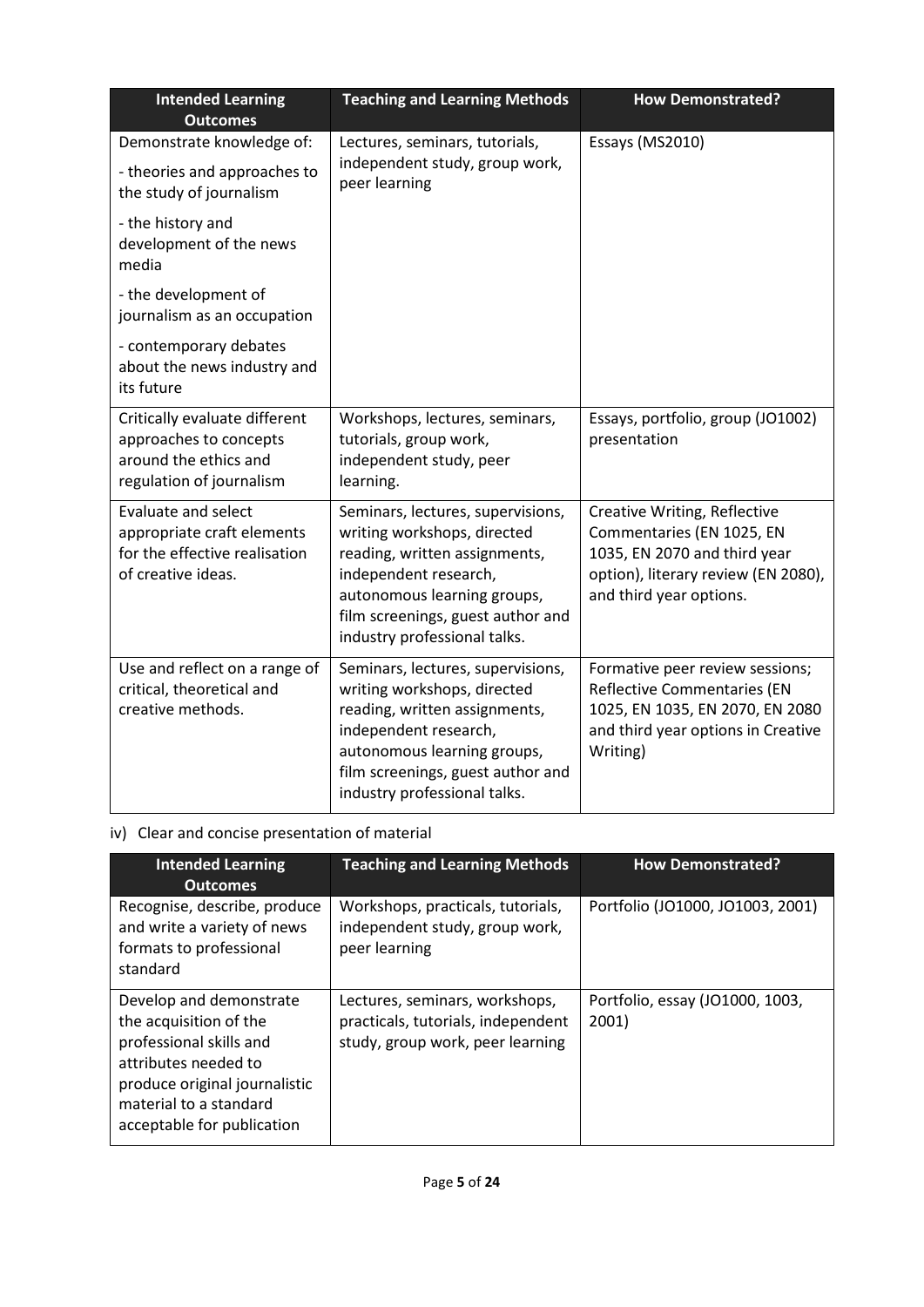| <b>Intended Learning</b><br><b>Outcomes</b>                                                                     | <b>Teaching and Learning Methods</b>                                                                                                                                                                                           | <b>How Demonstrated?</b>                                                                                                                                    |
|-----------------------------------------------------------------------------------------------------------------|--------------------------------------------------------------------------------------------------------------------------------------------------------------------------------------------------------------------------------|-------------------------------------------------------------------------------------------------------------------------------------------------------------|
| Demonstrate knowledge of:                                                                                       | Lectures, seminars, tutorials,                                                                                                                                                                                                 | Essays (MS2010)                                                                                                                                             |
| - theories and approaches to<br>the study of journalism                                                         | independent study, group work,<br>peer learning                                                                                                                                                                                |                                                                                                                                                             |
| - the history and<br>development of the news<br>media                                                           |                                                                                                                                                                                                                                |                                                                                                                                                             |
| - the development of<br>journalism as an occupation                                                             |                                                                                                                                                                                                                                |                                                                                                                                                             |
| - contemporary debates<br>about the news industry and<br>its future                                             |                                                                                                                                                                                                                                |                                                                                                                                                             |
| Critically evaluate different<br>approaches to concepts<br>around the ethics and<br>regulation of journalism    | Workshops, lectures, seminars,<br>tutorials, group work,<br>independent study, peer<br>learning.                                                                                                                               | Essays, portfolio, group (JO1002)<br>presentation                                                                                                           |
| <b>Evaluate and select</b><br>appropriate craft elements<br>for the effective realisation<br>of creative ideas. | Seminars, lectures, supervisions,<br>writing workshops, directed<br>reading, written assignments,<br>independent research,<br>autonomous learning groups,<br>film screenings, guest author and<br>industry professional talks. | Creative Writing, Reflective<br>Commentaries (EN 1025, EN<br>1035, EN 2070 and third year<br>option), literary review (EN 2080),<br>and third year options. |
| Use and reflect on a range of<br>critical, theoretical and<br>creative methods.                                 | Seminars, lectures, supervisions,<br>writing workshops, directed<br>reading, written assignments,<br>independent research,<br>autonomous learning groups,<br>film screenings, guest author and<br>industry professional talks. | Formative peer review sessions;<br><b>Reflective Commentaries (EN</b><br>1025, EN 1035, EN 2070, EN 2080<br>and third year options in Creative<br>Writing)  |

## iv) Clear and concise presentation of material

| <b>Intended Learning</b><br><b>Outcomes</b>                                                                                                                                                   | <b>Teaching and Learning Methods</b>                                                                     | <b>How Demonstrated?</b>                 |
|-----------------------------------------------------------------------------------------------------------------------------------------------------------------------------------------------|----------------------------------------------------------------------------------------------------------|------------------------------------------|
| Recognise, describe, produce<br>and write a variety of news<br>formats to professional<br>standard                                                                                            | Workshops, practicals, tutorials,<br>independent study, group work,<br>peer learning                     | Portfolio (JO1000, JO1003, 2001)         |
| Develop and demonstrate<br>the acquisition of the<br>professional skills and<br>attributes needed to<br>produce original journalistic<br>material to a standard<br>acceptable for publication | Lectures, seminars, workshops,<br>practicals, tutorials, independent<br>study, group work, peer learning | Portfolio, essay (JO1000, 1003,<br>2001) |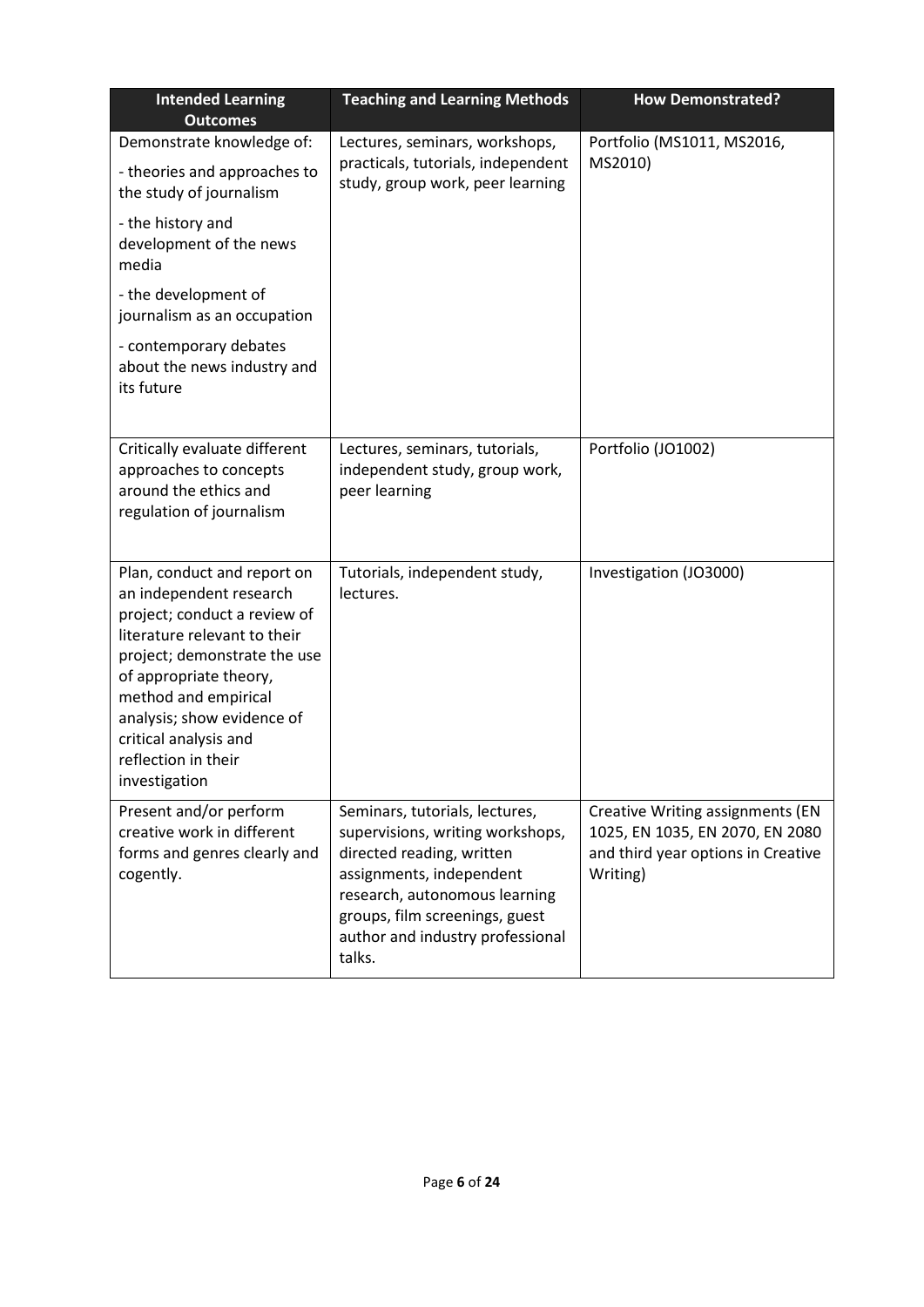| <b>Intended Learning</b><br><b>Outcomes</b>                                                                                                                                                                                                                                                             | <b>Teaching and Learning Methods</b>                                                                                                                                                                                                         | <b>How Demonstrated?</b>                                                                                              |
|---------------------------------------------------------------------------------------------------------------------------------------------------------------------------------------------------------------------------------------------------------------------------------------------------------|----------------------------------------------------------------------------------------------------------------------------------------------------------------------------------------------------------------------------------------------|-----------------------------------------------------------------------------------------------------------------------|
| Demonstrate knowledge of:<br>- theories and approaches to<br>the study of journalism                                                                                                                                                                                                                    | Lectures, seminars, workshops,<br>practicals, tutorials, independent<br>study, group work, peer learning                                                                                                                                     | Portfolio (MS1011, MS2016,<br>MS2010)                                                                                 |
| - the history and<br>development of the news<br>media                                                                                                                                                                                                                                                   |                                                                                                                                                                                                                                              |                                                                                                                       |
| - the development of<br>journalism as an occupation                                                                                                                                                                                                                                                     |                                                                                                                                                                                                                                              |                                                                                                                       |
| - contemporary debates<br>about the news industry and<br>its future                                                                                                                                                                                                                                     |                                                                                                                                                                                                                                              |                                                                                                                       |
| Critically evaluate different<br>approaches to concepts<br>around the ethics and<br>regulation of journalism                                                                                                                                                                                            | Lectures, seminars, tutorials,<br>independent study, group work,<br>peer learning                                                                                                                                                            | Portfolio (JO1002)                                                                                                    |
| Plan, conduct and report on<br>an independent research<br>project; conduct a review of<br>literature relevant to their<br>project; demonstrate the use<br>of appropriate theory,<br>method and empirical<br>analysis; show evidence of<br>critical analysis and<br>reflection in their<br>investigation | Tutorials, independent study,<br>lectures.                                                                                                                                                                                                   | Investigation (JO3000)                                                                                                |
| Present and/or perform<br>creative work in different<br>forms and genres clearly and<br>cogently.                                                                                                                                                                                                       | Seminars, tutorials, lectures,<br>supervisions, writing workshops,<br>directed reading, written<br>assignments, independent<br>research, autonomous learning<br>groups, film screenings, guest<br>author and industry professional<br>talks. | Creative Writing assignments (EN<br>1025, EN 1035, EN 2070, EN 2080<br>and third year options in Creative<br>Writing) |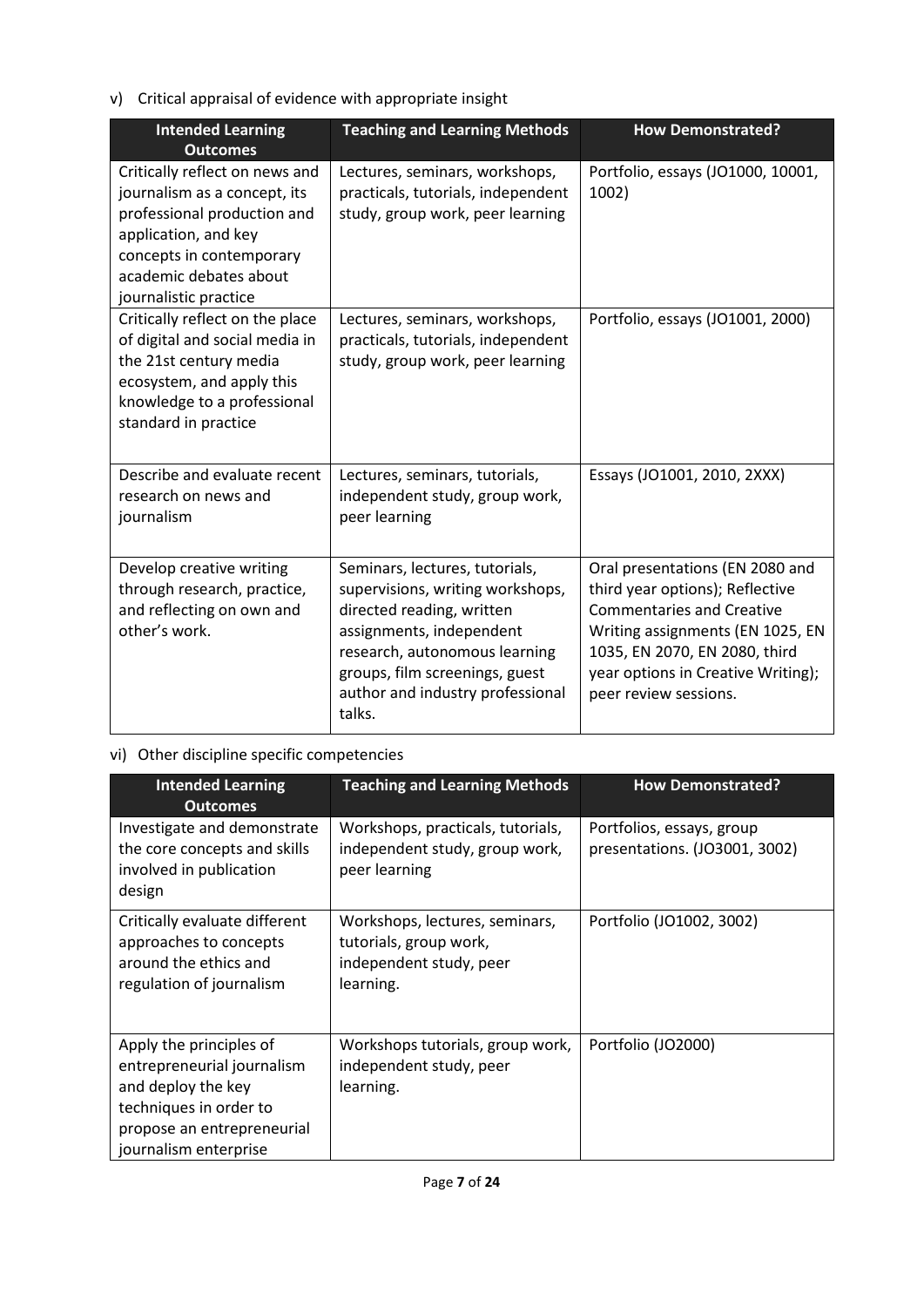v) Critical appraisal of evidence with appropriate insight

| <b>Intended Learning</b><br><b>Outcomes</b>                                                                                                                                                          | <b>Teaching and Learning Methods</b>                                                                                                                                                                                                         | <b>How Demonstrated?</b>                                                                                                                                                                                                                   |
|------------------------------------------------------------------------------------------------------------------------------------------------------------------------------------------------------|----------------------------------------------------------------------------------------------------------------------------------------------------------------------------------------------------------------------------------------------|--------------------------------------------------------------------------------------------------------------------------------------------------------------------------------------------------------------------------------------------|
| Critically reflect on news and<br>journalism as a concept, its<br>professional production and<br>application, and key<br>concepts in contemporary<br>academic debates about<br>journalistic practice | Lectures, seminars, workshops,<br>practicals, tutorials, independent<br>study, group work, peer learning                                                                                                                                     | Portfolio, essays (JO1000, 10001,<br>1002)                                                                                                                                                                                                 |
| Critically reflect on the place<br>of digital and social media in<br>the 21st century media<br>ecosystem, and apply this<br>knowledge to a professional<br>standard in practice                      | Lectures, seminars, workshops,<br>practicals, tutorials, independent<br>study, group work, peer learning                                                                                                                                     | Portfolio, essays (JO1001, 2000)                                                                                                                                                                                                           |
| Describe and evaluate recent<br>research on news and<br>journalism                                                                                                                                   | Lectures, seminars, tutorials,<br>independent study, group work,<br>peer learning                                                                                                                                                            | Essays (JO1001, 2010, 2XXX)                                                                                                                                                                                                                |
| Develop creative writing<br>through research, practice,<br>and reflecting on own and<br>other's work.                                                                                                | Seminars, lectures, tutorials,<br>supervisions, writing workshops,<br>directed reading, written<br>assignments, independent<br>research, autonomous learning<br>groups, film screenings, guest<br>author and industry professional<br>talks. | Oral presentations (EN 2080 and<br>third year options); Reflective<br><b>Commentaries and Creative</b><br>Writing assignments (EN 1025, EN<br>1035, EN 2070, EN 2080, third<br>year options in Creative Writing);<br>peer review sessions. |

# vi) Other discipline specific competencies

| <b>Intended Learning</b><br><b>Outcomes</b>                                                                                                                  | <b>Teaching and Learning Methods</b>                                                             | <b>How Demonstrated?</b>                                   |
|--------------------------------------------------------------------------------------------------------------------------------------------------------------|--------------------------------------------------------------------------------------------------|------------------------------------------------------------|
| Investigate and demonstrate<br>the core concepts and skills<br>involved in publication<br>design                                                             | Workshops, practicals, tutorials,<br>independent study, group work,<br>peer learning             | Portfolios, essays, group<br>presentations. (JO3001, 3002) |
| Critically evaluate different<br>approaches to concepts<br>around the ethics and<br>regulation of journalism                                                 | Workshops, lectures, seminars,<br>tutorials, group work,<br>independent study, peer<br>learning. | Portfolio (JO1002, 3002)                                   |
| Apply the principles of<br>entrepreneurial journalism<br>and deploy the key<br>techniques in order to<br>propose an entrepreneurial<br>journalism enterprise | Workshops tutorials, group work,<br>independent study, peer<br>learning.                         | Portfolio (JO2000)                                         |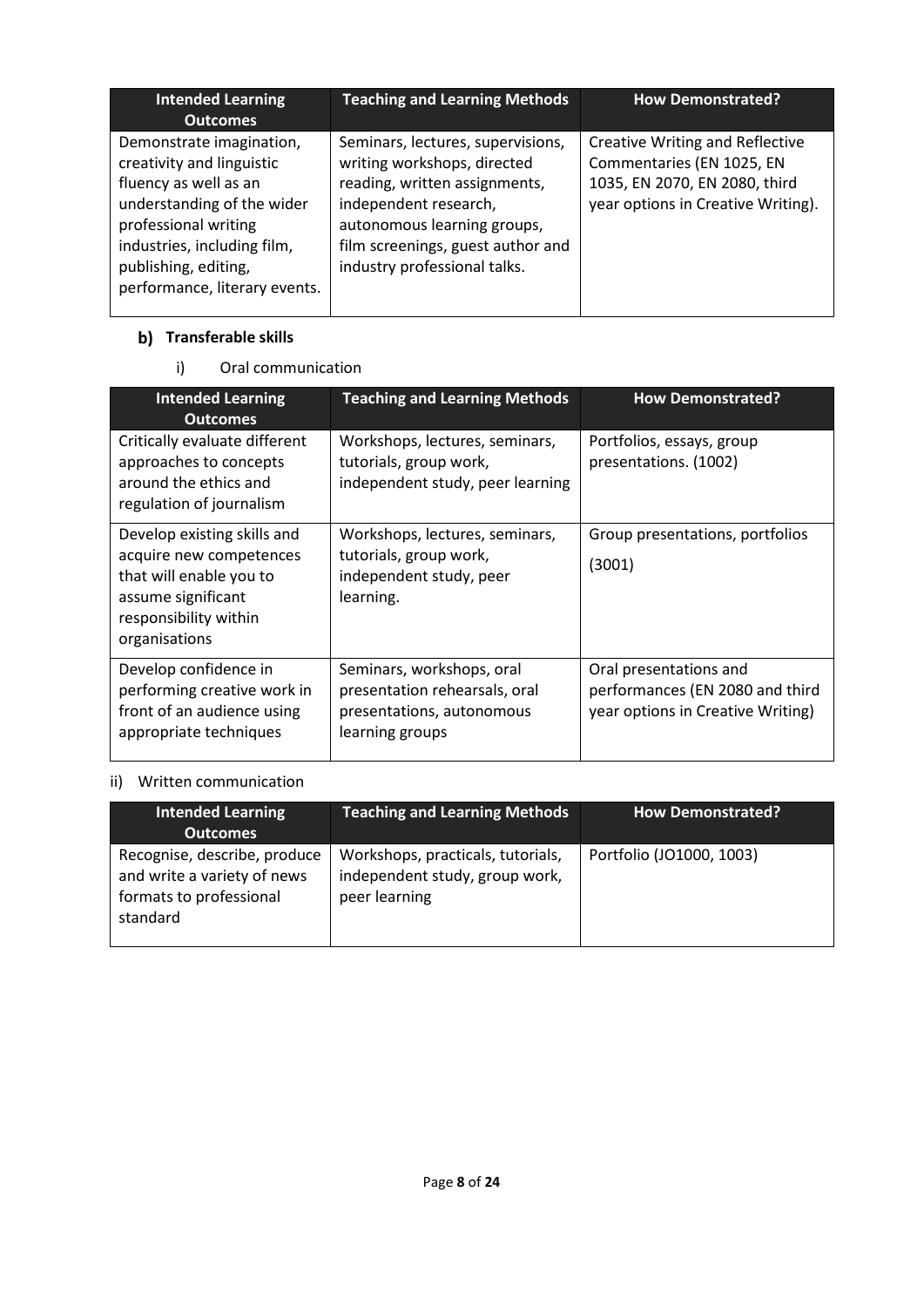| <b>Intended Learning</b><br><b>Outcomes</b>                                                                                                                                                                                  | <b>Teaching and Learning Methods</b>                                                                                                                                                                                           | <b>How Demonstrated?</b>                                                                                                                   |
|------------------------------------------------------------------------------------------------------------------------------------------------------------------------------------------------------------------------------|--------------------------------------------------------------------------------------------------------------------------------------------------------------------------------------------------------------------------------|--------------------------------------------------------------------------------------------------------------------------------------------|
| Demonstrate imagination,<br>creativity and linguistic<br>fluency as well as an<br>understanding of the wider<br>professional writing<br>industries, including film,<br>publishing, editing,<br>performance, literary events. | Seminars, lectures, supervisions,<br>writing workshops, directed<br>reading, written assignments,<br>independent research,<br>autonomous learning groups,<br>film screenings, guest author and<br>industry professional talks. | <b>Creative Writing and Reflective</b><br>Commentaries (EN 1025, EN<br>1035, EN 2070, EN 2080, third<br>year options in Creative Writing). |

### **Transferable skills**

## i) Oral communication

| <b>Intended Learning</b><br><b>Outcomes</b>                                                                                                       | <b>Teaching and Learning Methods</b>                                                                       | <b>How Demonstrated?</b>                                                                       |
|---------------------------------------------------------------------------------------------------------------------------------------------------|------------------------------------------------------------------------------------------------------------|------------------------------------------------------------------------------------------------|
| Critically evaluate different<br>approaches to concepts<br>around the ethics and<br>regulation of journalism                                      | Workshops, lectures, seminars,<br>tutorials, group work,<br>independent study, peer learning               | Portfolios, essays, group<br>presentations. (1002)                                             |
| Develop existing skills and<br>acquire new competences<br>that will enable you to<br>assume significant<br>responsibility within<br>organisations | Workshops, lectures, seminars,<br>tutorials, group work,<br>independent study, peer<br>learning.           | Group presentations, portfolios<br>(3001)                                                      |
| Develop confidence in<br>performing creative work in<br>front of an audience using<br>appropriate techniques                                      | Seminars, workshops, oral<br>presentation rehearsals, oral<br>presentations, autonomous<br>learning groups | Oral presentations and<br>performances (EN 2080 and third<br>year options in Creative Writing) |

### ii) Written communication

| <b>Intended Learning</b><br><b>Outcomes</b>                                                        | <b>Teaching and Learning Methods</b>                                                 | <b>How Demonstrated?</b> |
|----------------------------------------------------------------------------------------------------|--------------------------------------------------------------------------------------|--------------------------|
| Recognise, describe, produce<br>and write a variety of news<br>formats to professional<br>standard | Workshops, practicals, tutorials,<br>independent study, group work,<br>peer learning | Portfolio (JO1000, 1003) |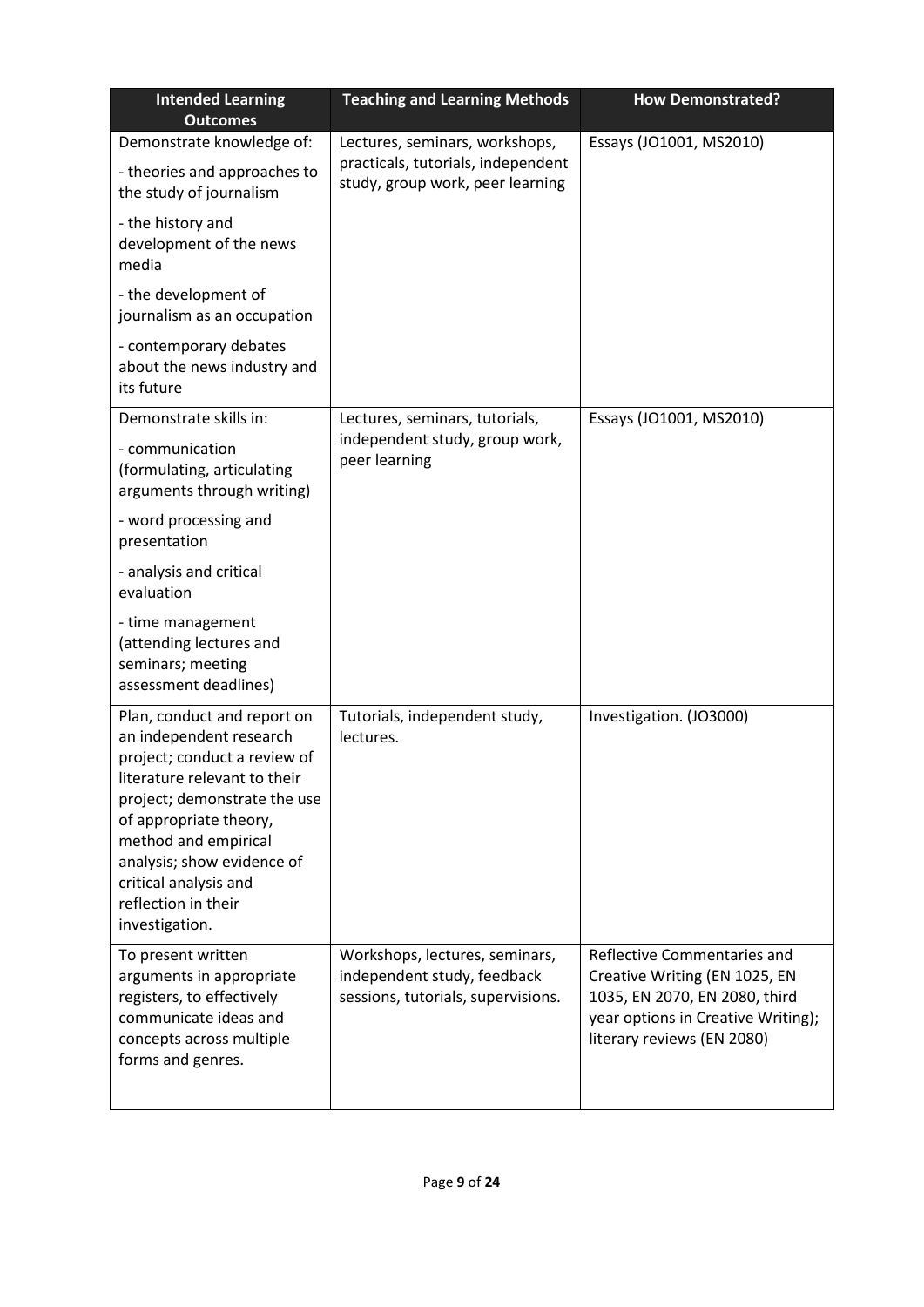| <b>Intended Learning</b><br><b>Outcomes</b>                                                                                                                                                                                                                                                              | <b>Teaching and Learning Methods</b><br><b>How Demonstrated?</b>                                         |                                                                                                                                                                   |
|----------------------------------------------------------------------------------------------------------------------------------------------------------------------------------------------------------------------------------------------------------------------------------------------------------|----------------------------------------------------------------------------------------------------------|-------------------------------------------------------------------------------------------------------------------------------------------------------------------|
| Demonstrate knowledge of:<br>- theories and approaches to<br>the study of journalism                                                                                                                                                                                                                     | Lectures, seminars, workshops,<br>practicals, tutorials, independent<br>study, group work, peer learning | Essays (JO1001, MS2010)                                                                                                                                           |
| - the history and<br>development of the news<br>media                                                                                                                                                                                                                                                    |                                                                                                          |                                                                                                                                                                   |
| - the development of<br>journalism as an occupation                                                                                                                                                                                                                                                      |                                                                                                          |                                                                                                                                                                   |
| - contemporary debates<br>about the news industry and<br>its future                                                                                                                                                                                                                                      |                                                                                                          |                                                                                                                                                                   |
| Demonstrate skills in:                                                                                                                                                                                                                                                                                   | Lectures, seminars, tutorials,                                                                           | Essays (JO1001, MS2010)                                                                                                                                           |
| - communication<br>(formulating, articulating<br>arguments through writing)                                                                                                                                                                                                                              | independent study, group work,<br>peer learning                                                          |                                                                                                                                                                   |
| - word processing and<br>presentation                                                                                                                                                                                                                                                                    |                                                                                                          |                                                                                                                                                                   |
| - analysis and critical<br>evaluation                                                                                                                                                                                                                                                                    |                                                                                                          |                                                                                                                                                                   |
| - time management<br>(attending lectures and<br>seminars; meeting<br>assessment deadlines)                                                                                                                                                                                                               |                                                                                                          |                                                                                                                                                                   |
| Plan, conduct and report on<br>an independent research<br>project; conduct a review of<br>literature relevant to their<br>project; demonstrate the use<br>of appropriate theory,<br>method and empirical<br>analysis; show evidence of<br>critical analysis and<br>reflection in their<br>investigation. | Tutorials, independent study,<br>lectures.                                                               | Investigation. (JO3000)                                                                                                                                           |
| To present written<br>arguments in appropriate<br>registers, to effectively<br>communicate ideas and<br>concepts across multiple<br>forms and genres.                                                                                                                                                    | Workshops, lectures, seminars,<br>independent study, feedback<br>sessions, tutorials, supervisions.      | Reflective Commentaries and<br>Creative Writing (EN 1025, EN<br>1035, EN 2070, EN 2080, third<br>year options in Creative Writing);<br>literary reviews (EN 2080) |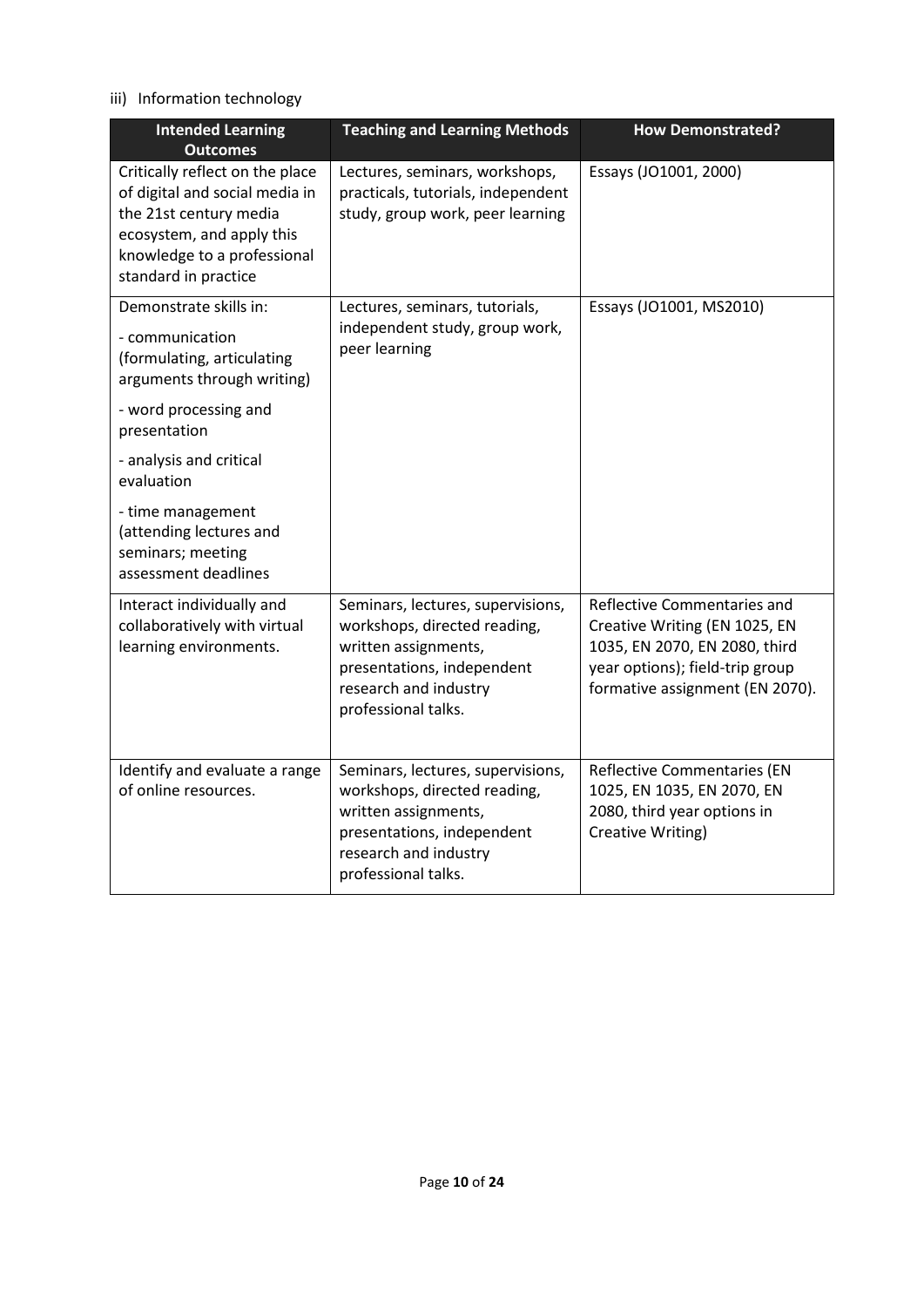### iii) Information technology

| <b>Intended Learning</b><br><b>Outcomes</b>                                                                                                                                     | <b>Teaching and Learning Methods</b>                                                                                                                                    | <b>How Demonstrated?</b>                                                                                                                                            |  |
|---------------------------------------------------------------------------------------------------------------------------------------------------------------------------------|-------------------------------------------------------------------------------------------------------------------------------------------------------------------------|---------------------------------------------------------------------------------------------------------------------------------------------------------------------|--|
| Critically reflect on the place<br>of digital and social media in<br>the 21st century media<br>ecosystem, and apply this<br>knowledge to a professional<br>standard in practice | Lectures, seminars, workshops,<br>practicals, tutorials, independent<br>study, group work, peer learning                                                                | Essays (JO1001, 2000)                                                                                                                                               |  |
| Demonstrate skills in:<br>- communication<br>(formulating, articulating<br>arguments through writing)                                                                           | Lectures, seminars, tutorials,<br>independent study, group work,<br>peer learning                                                                                       | Essays (JO1001, MS2010)                                                                                                                                             |  |
| - word processing and<br>presentation                                                                                                                                           |                                                                                                                                                                         |                                                                                                                                                                     |  |
| - analysis and critical<br>evaluation                                                                                                                                           |                                                                                                                                                                         |                                                                                                                                                                     |  |
| - time management<br>(attending lectures and<br>seminars; meeting<br>assessment deadlines                                                                                       |                                                                                                                                                                         |                                                                                                                                                                     |  |
| Interact individually and<br>collaboratively with virtual<br>learning environments.                                                                                             | Seminars, lectures, supervisions,<br>workshops, directed reading,<br>written assignments,<br>presentations, independent<br>research and industry<br>professional talks. | Reflective Commentaries and<br>Creative Writing (EN 1025, EN<br>1035, EN 2070, EN 2080, third<br>year options); field-trip group<br>formative assignment (EN 2070). |  |
| Identify and evaluate a range<br>of online resources.                                                                                                                           | Seminars, lectures, supervisions,<br>workshops, directed reading,<br>written assignments,<br>presentations, independent<br>research and industry<br>professional talks. | Reflective Commentaries (EN<br>1025, EN 1035, EN 2070, EN<br>2080, third year options in<br>Creative Writing)                                                       |  |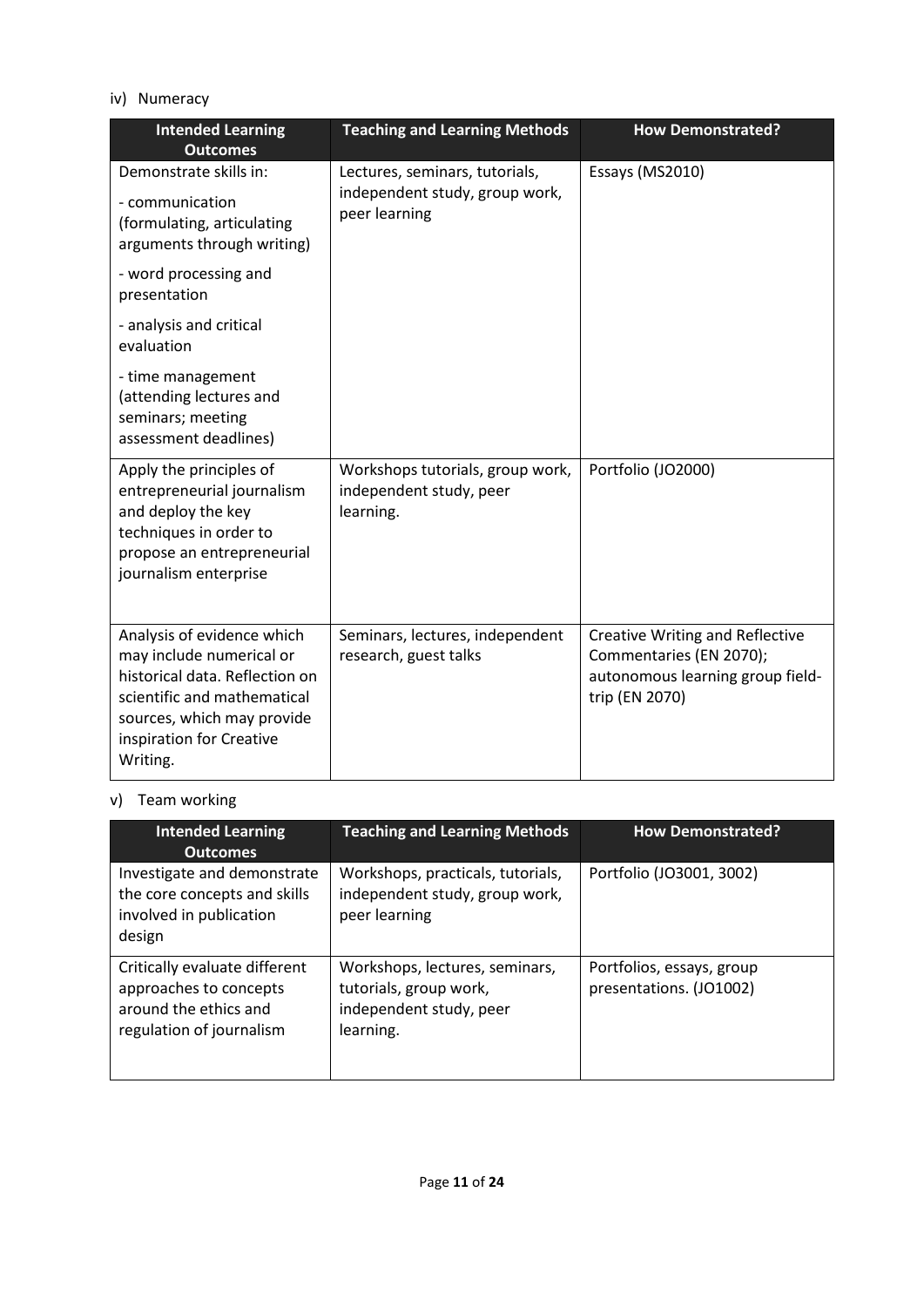#### iv) Numeracy

| <b>Intended Learning</b><br><b>Outcomes</b>                                                                                                                                                   | <b>Teaching and Learning Methods</b><br><b>How Demonstrated?</b>                  |                                                                                                                         |
|-----------------------------------------------------------------------------------------------------------------------------------------------------------------------------------------------|-----------------------------------------------------------------------------------|-------------------------------------------------------------------------------------------------------------------------|
| Demonstrate skills in:<br>- communication<br>(formulating, articulating<br>arguments through writing)                                                                                         | Lectures, seminars, tutorials,<br>independent study, group work,<br>peer learning | Essays (MS2010)                                                                                                         |
| - word processing and<br>presentation                                                                                                                                                         |                                                                                   |                                                                                                                         |
| - analysis and critical<br>evaluation                                                                                                                                                         |                                                                                   |                                                                                                                         |
| - time management<br>(attending lectures and<br>seminars; meeting<br>assessment deadlines)                                                                                                    |                                                                                   |                                                                                                                         |
| Apply the principles of<br>entrepreneurial journalism<br>and deploy the key<br>techniques in order to<br>propose an entrepreneurial<br>journalism enterprise                                  | Workshops tutorials, group work,<br>independent study, peer<br>learning.          | Portfolio (JO2000)                                                                                                      |
| Analysis of evidence which<br>may include numerical or<br>historical data. Reflection on<br>scientific and mathematical<br>sources, which may provide<br>inspiration for Creative<br>Writing. | Seminars, lectures, independent<br>research, guest talks                          | <b>Creative Writing and Reflective</b><br>Commentaries (EN 2070);<br>autonomous learning group field-<br>trip (EN 2070) |

# v) Team working

| <b>Intended Learning</b><br><b>Outcomes</b>                                                                  | <b>Teaching and Learning Methods</b>                                                             | <b>How Demonstrated?</b>                             |
|--------------------------------------------------------------------------------------------------------------|--------------------------------------------------------------------------------------------------|------------------------------------------------------|
| Investigate and demonstrate<br>the core concepts and skills<br>involved in publication<br>design             | Workshops, practicals, tutorials,<br>independent study, group work,<br>peer learning             | Portfolio (JO3001, 3002)                             |
| Critically evaluate different<br>approaches to concepts<br>around the ethics and<br>regulation of journalism | Workshops, lectures, seminars,<br>tutorials, group work,<br>independent study, peer<br>learning. | Portfolios, essays, group<br>presentations. (JO1002) |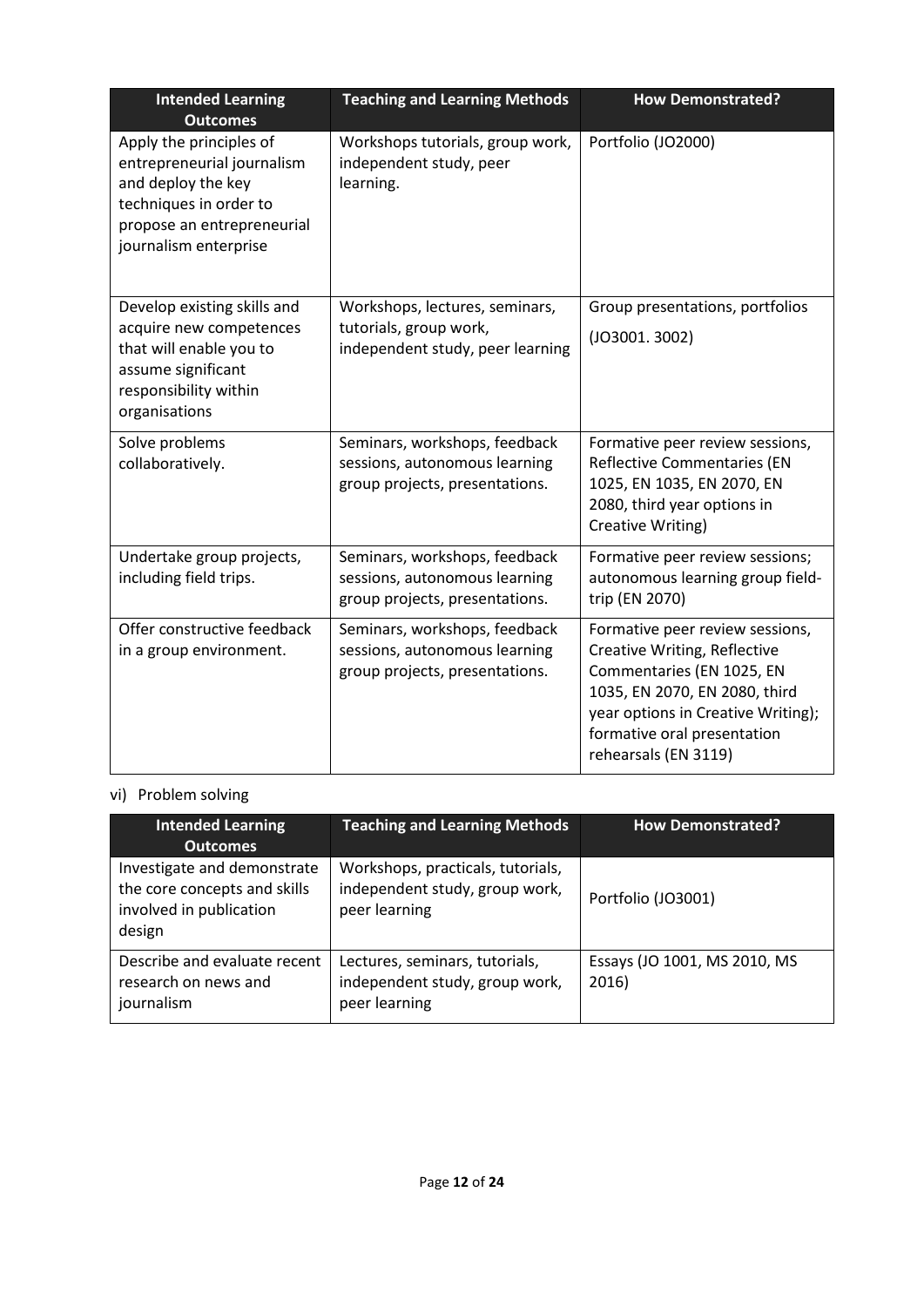| <b>Intended Learning</b><br><b>Outcomes</b>                                                                                                                  | <b>Teaching and Learning Methods</b><br><b>How Demonstrated?</b>                                 |                                                                                                                                                                                                                                   |
|--------------------------------------------------------------------------------------------------------------------------------------------------------------|--------------------------------------------------------------------------------------------------|-----------------------------------------------------------------------------------------------------------------------------------------------------------------------------------------------------------------------------------|
| Apply the principles of<br>entrepreneurial journalism<br>and deploy the key<br>techniques in order to<br>propose an entrepreneurial<br>journalism enterprise | Workshops tutorials, group work,<br>independent study, peer<br>learning.                         | Portfolio (JO2000)                                                                                                                                                                                                                |
| Develop existing skills and<br>acquire new competences<br>that will enable you to<br>assume significant<br>responsibility within<br>organisations            | Workshops, lectures, seminars,<br>tutorials, group work,<br>independent study, peer learning     | Group presentations, portfolios<br>(JO3001.3002)                                                                                                                                                                                  |
| Solve problems<br>collaboratively.                                                                                                                           | Seminars, workshops, feedback<br>sessions, autonomous learning<br>group projects, presentations. | Formative peer review sessions,<br><b>Reflective Commentaries (EN</b><br>1025, EN 1035, EN 2070, EN<br>2080, third year options in<br>Creative Writing)                                                                           |
| Undertake group projects,<br>including field trips.                                                                                                          | Seminars, workshops, feedback<br>sessions, autonomous learning<br>group projects, presentations. | Formative peer review sessions;<br>autonomous learning group field-<br>trip (EN 2070)                                                                                                                                             |
| Offer constructive feedback<br>in a group environment.                                                                                                       | Seminars, workshops, feedback<br>sessions, autonomous learning<br>group projects, presentations. | Formative peer review sessions,<br><b>Creative Writing, Reflective</b><br>Commentaries (EN 1025, EN<br>1035, EN 2070, EN 2080, third<br>year options in Creative Writing);<br>formative oral presentation<br>rehearsals (EN 3119) |

### vi) Problem solving

| <b>Intended Learning</b><br><b>Outcomes</b>                                                      | <b>Teaching and Learning Methods</b>                                                 | <b>How Demonstrated?</b>              |
|--------------------------------------------------------------------------------------------------|--------------------------------------------------------------------------------------|---------------------------------------|
| Investigate and demonstrate<br>the core concepts and skills<br>involved in publication<br>design | Workshops, practicals, tutorials,<br>independent study, group work,<br>peer learning | Portfolio (JO3001)                    |
| Describe and evaluate recent<br>research on news and<br>journalism                               | Lectures, seminars, tutorials,<br>independent study, group work,<br>peer learning    | Essays (JO 1001, MS 2010, MS<br>2016) |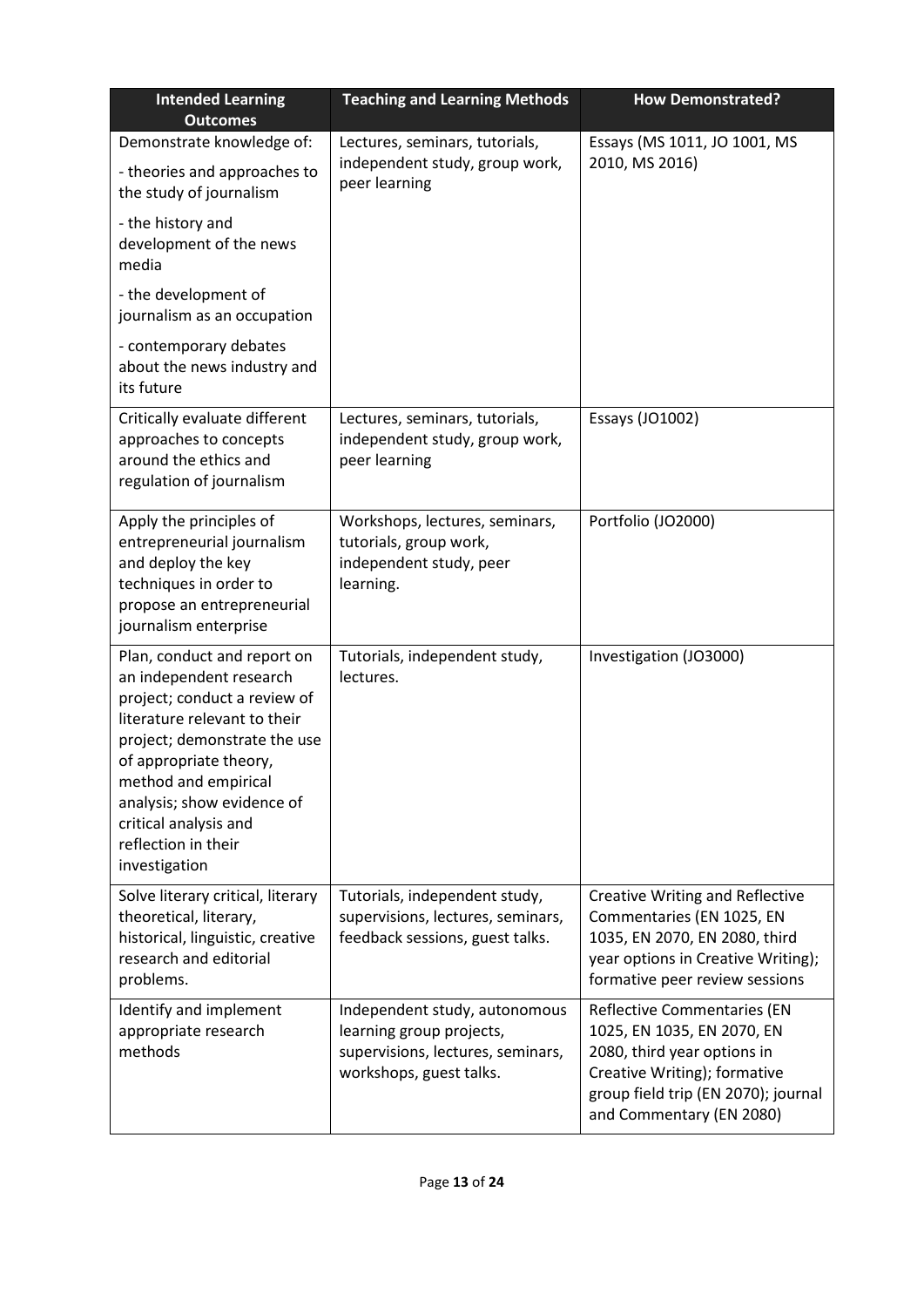| <b>Intended Learning</b><br><b>Outcomes</b>                                                                                                                                                                                                                                                             | <b>Teaching and Learning Methods</b><br><b>How Demonstrated?</b>                                                          |                                                                                                                                                                                             |
|---------------------------------------------------------------------------------------------------------------------------------------------------------------------------------------------------------------------------------------------------------------------------------------------------------|---------------------------------------------------------------------------------------------------------------------------|---------------------------------------------------------------------------------------------------------------------------------------------------------------------------------------------|
| Demonstrate knowledge of:<br>- theories and approaches to<br>the study of journalism<br>- the history and<br>development of the news                                                                                                                                                                    | Lectures, seminars, tutorials,<br>independent study, group work,<br>peer learning                                         | Essays (MS 1011, JO 1001, MS<br>2010, MS 2016)                                                                                                                                              |
| media<br>- the development of<br>journalism as an occupation                                                                                                                                                                                                                                            |                                                                                                                           |                                                                                                                                                                                             |
| - contemporary debates<br>about the news industry and<br>its future                                                                                                                                                                                                                                     |                                                                                                                           |                                                                                                                                                                                             |
| Critically evaluate different<br>approaches to concepts<br>around the ethics and<br>regulation of journalism                                                                                                                                                                                            | Lectures, seminars, tutorials,<br>independent study, group work,<br>peer learning                                         | Essays (JO1002)                                                                                                                                                                             |
| Apply the principles of<br>entrepreneurial journalism<br>and deploy the key<br>techniques in order to<br>propose an entrepreneurial<br>journalism enterprise                                                                                                                                            | Workshops, lectures, seminars,<br>tutorials, group work,<br>independent study, peer<br>learning.                          | Portfolio (JO2000)                                                                                                                                                                          |
| Plan, conduct and report on<br>an independent research<br>project; conduct a review of<br>literature relevant to their<br>project; demonstrate the use<br>of appropriate theory,<br>method and empirical<br>analysis; show evidence of<br>critical analysis and<br>reflection in their<br>investigation | Tutorials, independent study,<br>lectures.                                                                                | Investigation (JO3000)                                                                                                                                                                      |
| Solve literary critical, literary<br>theoretical, literary,<br>historical, linguistic, creative<br>research and editorial<br>problems.                                                                                                                                                                  | Tutorials, independent study,<br>supervisions, lectures, seminars,<br>feedback sessions, guest talks.                     | <b>Creative Writing and Reflective</b><br>Commentaries (EN 1025, EN<br>1035, EN 2070, EN 2080, third<br>year options in Creative Writing);<br>formative peer review sessions                |
| Identify and implement<br>appropriate research<br>methods                                                                                                                                                                                                                                               | Independent study, autonomous<br>learning group projects,<br>supervisions, lectures, seminars,<br>workshops, guest talks. | Reflective Commentaries (EN<br>1025, EN 1035, EN 2070, EN<br>2080, third year options in<br>Creative Writing); formative<br>group field trip (EN 2070); journal<br>and Commentary (EN 2080) |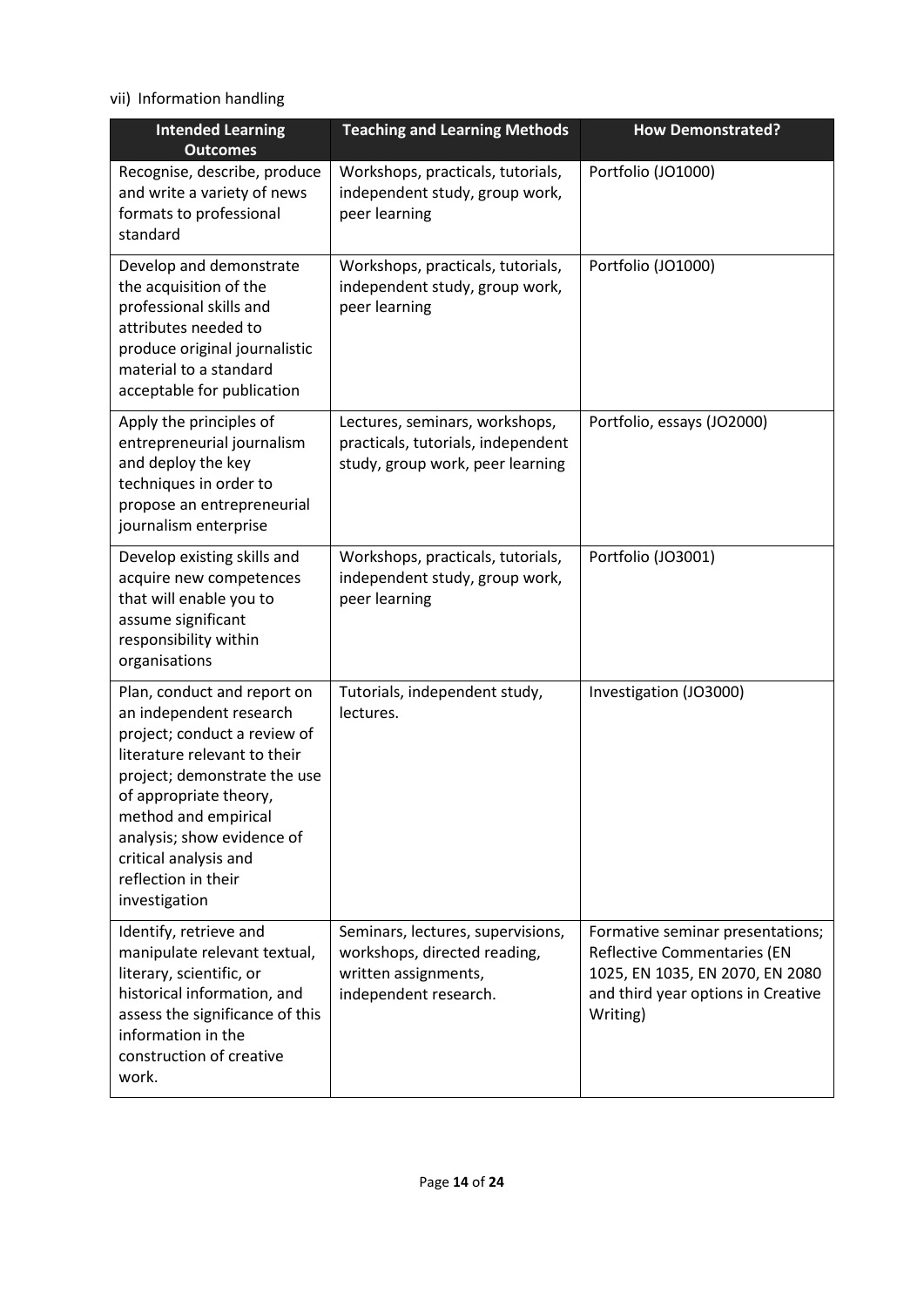vii) Information handling

| <b>Intended Learning</b><br><b>Outcomes</b>                                                                                                                                                                                                                                                             | <b>Teaching and Learning Methods</b>                                                                               | <b>How Demonstrated?</b>                                                                                                                                    |
|---------------------------------------------------------------------------------------------------------------------------------------------------------------------------------------------------------------------------------------------------------------------------------------------------------|--------------------------------------------------------------------------------------------------------------------|-------------------------------------------------------------------------------------------------------------------------------------------------------------|
| Recognise, describe, produce<br>and write a variety of news<br>formats to professional<br>standard                                                                                                                                                                                                      | Workshops, practicals, tutorials,<br>independent study, group work,<br>peer learning                               | Portfolio (JO1000)                                                                                                                                          |
| Develop and demonstrate<br>the acquisition of the<br>professional skills and<br>attributes needed to<br>produce original journalistic<br>material to a standard<br>acceptable for publication                                                                                                           | Workshops, practicals, tutorials,<br>independent study, group work,<br>peer learning                               | Portfolio (JO1000)                                                                                                                                          |
| Apply the principles of<br>entrepreneurial journalism<br>and deploy the key<br>techniques in order to<br>propose an entrepreneurial<br>journalism enterprise                                                                                                                                            | Lectures, seminars, workshops,<br>practicals, tutorials, independent<br>study, group work, peer learning           | Portfolio, essays (JO2000)                                                                                                                                  |
| Develop existing skills and<br>acquire new competences<br>that will enable you to<br>assume significant<br>responsibility within<br>organisations                                                                                                                                                       | Workshops, practicals, tutorials,<br>independent study, group work,<br>peer learning                               | Portfolio (JO3001)                                                                                                                                          |
| Plan, conduct and report on<br>an independent research<br>project; conduct a review of<br>literature relevant to their<br>project; demonstrate the use<br>of appropriate theory,<br>method and empirical<br>analysis; show evidence of<br>critical analysis and<br>reflection in their<br>investigation | Tutorials, independent study,<br>lectures.                                                                         | Investigation (JO3000)                                                                                                                                      |
| Identify, retrieve and<br>manipulate relevant textual,<br>literary, scientific, or<br>historical information, and<br>assess the significance of this<br>information in the<br>construction of creative<br>work.                                                                                         | Seminars, lectures, supervisions,<br>workshops, directed reading,<br>written assignments,<br>independent research. | Formative seminar presentations;<br><b>Reflective Commentaries (EN</b><br>1025, EN 1035, EN 2070, EN 2080<br>and third year options in Creative<br>Writing) |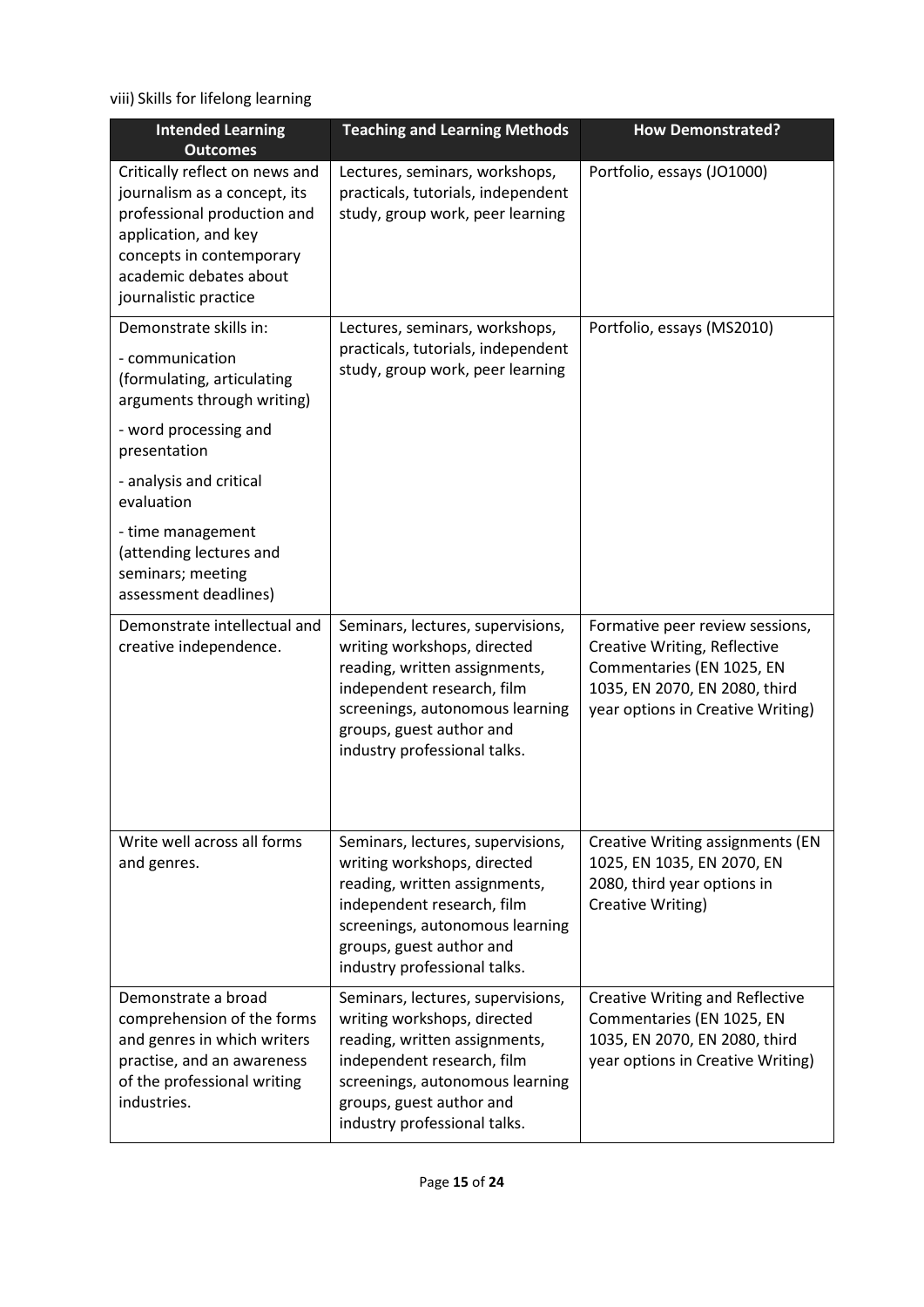viii) Skills for lifelong learning

| <b>Intended Learning</b><br><b>Outcomes</b>                                                                                                                                                          | <b>Teaching and Learning Methods</b>                                                                                                                                                                                           | <b>How Demonstrated?</b>                                                                                                                                           |
|------------------------------------------------------------------------------------------------------------------------------------------------------------------------------------------------------|--------------------------------------------------------------------------------------------------------------------------------------------------------------------------------------------------------------------------------|--------------------------------------------------------------------------------------------------------------------------------------------------------------------|
| Critically reflect on news and<br>journalism as a concept, its<br>professional production and<br>application, and key<br>concepts in contemporary<br>academic debates about<br>journalistic practice | Lectures, seminars, workshops,<br>practicals, tutorials, independent<br>study, group work, peer learning                                                                                                                       | Portfolio, essays (JO1000)                                                                                                                                         |
| Demonstrate skills in:<br>- communication<br>(formulating, articulating<br>arguments through writing)<br>- word processing and                                                                       | Lectures, seminars, workshops,<br>practicals, tutorials, independent<br>study, group work, peer learning                                                                                                                       | Portfolio, essays (MS2010)                                                                                                                                         |
| presentation<br>- analysis and critical<br>evaluation                                                                                                                                                |                                                                                                                                                                                                                                |                                                                                                                                                                    |
| - time management<br>(attending lectures and<br>seminars; meeting<br>assessment deadlines)                                                                                                           |                                                                                                                                                                                                                                |                                                                                                                                                                    |
| Demonstrate intellectual and<br>creative independence.                                                                                                                                               | Seminars, lectures, supervisions,<br>writing workshops, directed<br>reading, written assignments,<br>independent research, film<br>screenings, autonomous learning<br>groups, guest author and<br>industry professional talks. | Formative peer review sessions,<br>Creative Writing, Reflective<br>Commentaries (EN 1025, EN<br>1035, EN 2070, EN 2080, third<br>year options in Creative Writing) |
| Write well across all forms<br>and genres.                                                                                                                                                           | Seminars, lectures, supervisions,<br>writing workshops, directed<br>reading, written assignments,<br>independent research, film<br>screenings, autonomous learning<br>groups, guest author and<br>industry professional talks. | <b>Creative Writing assignments (EN</b><br>1025, EN 1035, EN 2070, EN<br>2080, third year options in<br>Creative Writing)                                          |
| Demonstrate a broad<br>comprehension of the forms<br>and genres in which writers<br>practise, and an awareness<br>of the professional writing<br>industries.                                         | Seminars, lectures, supervisions,<br>writing workshops, directed<br>reading, written assignments,<br>independent research, film<br>screenings, autonomous learning<br>groups, guest author and<br>industry professional talks. | <b>Creative Writing and Reflective</b><br>Commentaries (EN 1025, EN<br>1035, EN 2070, EN 2080, third<br>year options in Creative Writing)                          |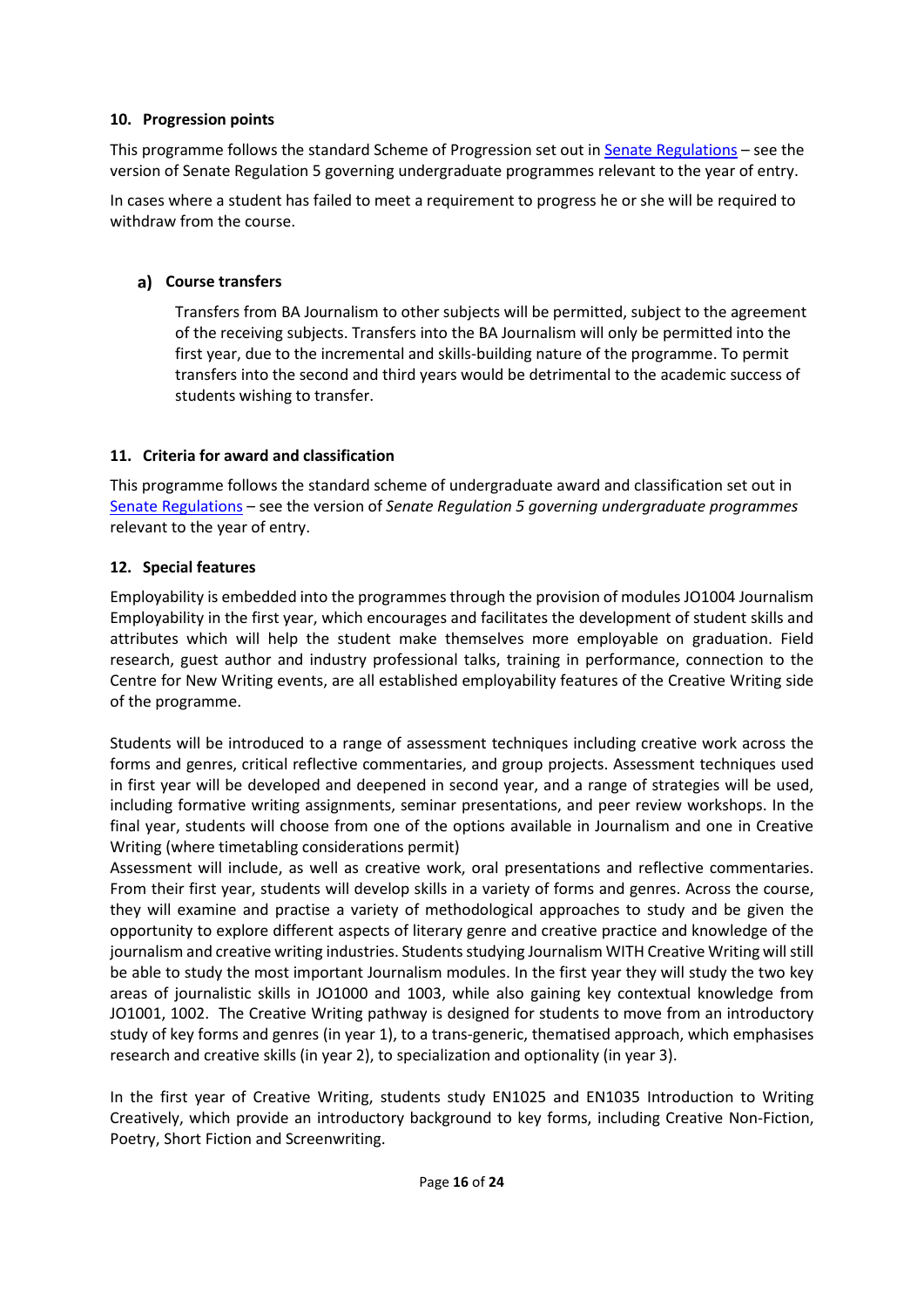#### **10. Progression points**

This programme follows the standard Scheme of Progression set out i[n Senate Regulations](http://www.le.ac.uk/senate-regulations) – see the version of Senate Regulation 5 governing undergraduate programmes relevant to the year of entry.

In cases where a student has failed to meet a requirement to progress he or she will be required to withdraw from the course.

### **Course transfers**

Transfers from BA Journalism to other subjects will be permitted, subject to the agreement of the receiving subjects. Transfers into the BA Journalism will only be permitted into the first year, due to the incremental and skills-building nature of the programme. To permit transfers into the second and third years would be detrimental to the academic success of students wishing to transfer.

### **11. Criteria for award and classification**

This programme follows the standard scheme of undergraduate award and classification set out in [Senate Regulations](http://www.le.ac.uk/senate-regulations) – see the version of *Senate Regulation 5 governing undergraduate programmes* relevant to the year of entry.

### **12. Special features**

Employability is embedded into the programmes through the provision of modules JO1004 Journalism Employability in the first year, which encourages and facilitates the development of student skills and attributes which will help the student make themselves more employable on graduation. Field research, guest author and industry professional talks, training in performance, connection to the Centre for New Writing events, are all established employability features of the Creative Writing side of the programme.

Students will be introduced to a range of assessment techniques including creative work across the forms and genres, critical reflective commentaries, and group projects. Assessment techniques used in first year will be developed and deepened in second year, and a range of strategies will be used, including formative writing assignments, seminar presentations, and peer review workshops. In the final year, students will choose from one of the options available in Journalism and one in Creative Writing (where timetabling considerations permit)

Assessment will include, as well as creative work, oral presentations and reflective commentaries. From their first year, students will develop skills in a variety of forms and genres. Across the course, they will examine and practise a variety of methodological approaches to study and be given the opportunity to explore different aspects of literary genre and creative practice and knowledge of the journalism and creative writing industries. Students studying Journalism WITH Creative Writing will still be able to study the most important Journalism modules. In the first year they will study the two key areas of journalistic skills in JO1000 and 1003, while also gaining key contextual knowledge from JO1001, 1002. The Creative Writing pathway is designed for students to move from an introductory study of key forms and genres (in year 1), to a trans-generic, thematised approach, which emphasises research and creative skills (in year 2), to specialization and optionality (in year 3).

In the first year of Creative Writing, students study EN1025 and EN1035 Introduction to Writing Creatively, which provide an introductory background to key forms, including Creative Non-Fiction, Poetry, Short Fiction and Screenwriting.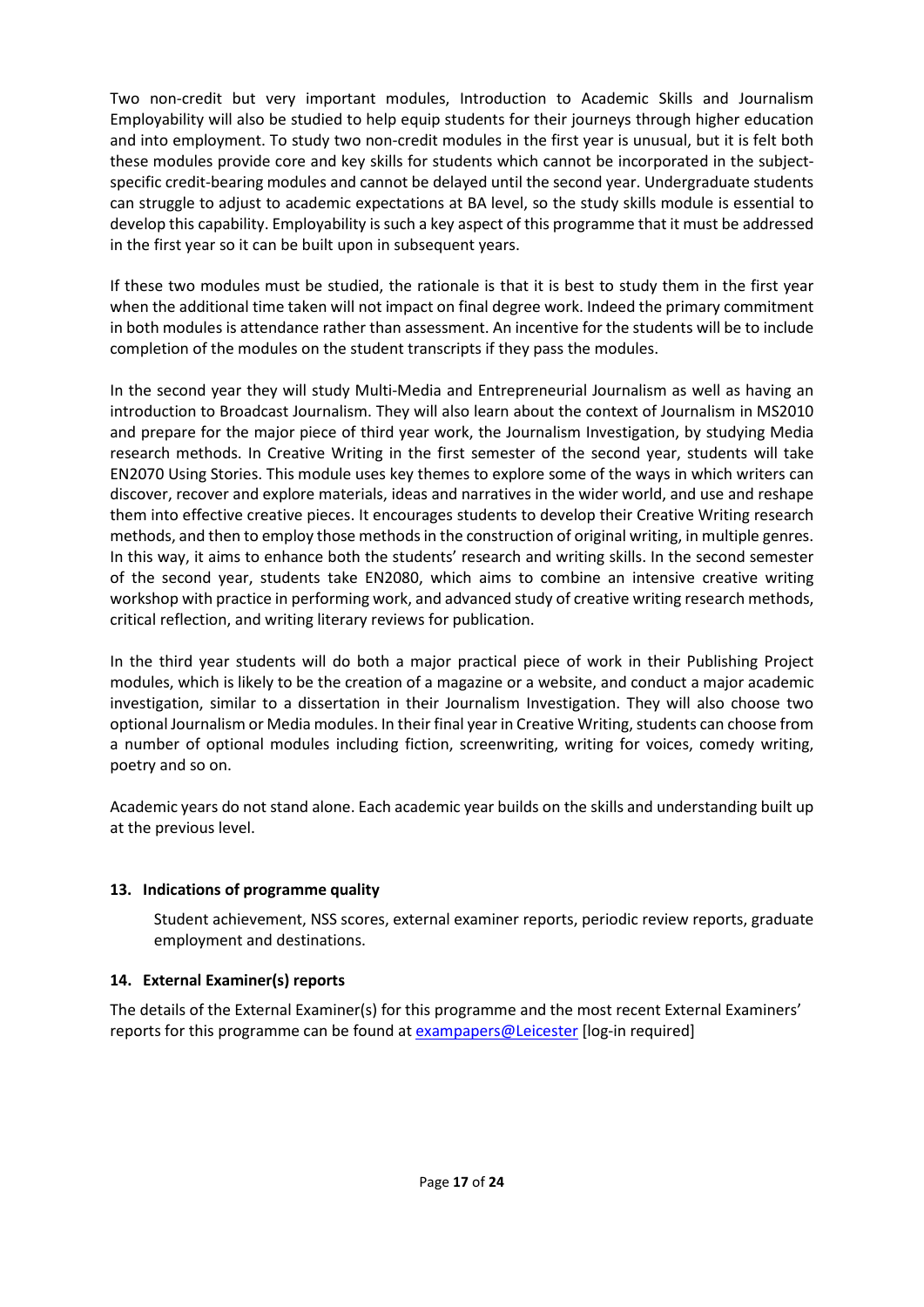Two non-credit but very important modules, Introduction to Academic Skills and Journalism Employability will also be studied to help equip students for their journeys through higher education and into employment. To study two non-credit modules in the first year is unusual, but it is felt both these modules provide core and key skills for students which cannot be incorporated in the subjectspecific credit-bearing modules and cannot be delayed until the second year. Undergraduate students can struggle to adjust to academic expectations at BA level, so the study skills module is essential to develop this capability. Employability is such a key aspect of this programme that it must be addressed in the first year so it can be built upon in subsequent years.

If these two modules must be studied, the rationale is that it is best to study them in the first year when the additional time taken will not impact on final degree work. Indeed the primary commitment in both modules is attendance rather than assessment. An incentive for the students will be to include completion of the modules on the student transcripts if they pass the modules.

In the second year they will study Multi-Media and Entrepreneurial Journalism as well as having an introduction to Broadcast Journalism. They will also learn about the context of Journalism in MS2010 and prepare for the major piece of third year work, the Journalism Investigation, by studying Media research methods. In Creative Writing in the first semester of the second year, students will take EN2070 Using Stories. This module uses key themes to explore some of the ways in which writers can discover, recover and explore materials, ideas and narratives in the wider world, and use and reshape them into effective creative pieces. It encourages students to develop their Creative Writing research methods, and then to employ those methods in the construction of original writing, in multiple genres. In this way, it aims to enhance both the students' research and writing skills. In the second semester of the second year, students take EN2080, which aims to combine an intensive creative writing workshop with practice in performing work, and advanced study of creative writing research methods, critical reflection, and writing literary reviews for publication.

In the third year students will do both a major practical piece of work in their Publishing Project modules, which is likely to be the creation of a magazine or a website, and conduct a major academic investigation, similar to a dissertation in their Journalism Investigation. They will also choose two optional Journalism or Media modules. In their final year in Creative Writing, students can choose from a number of optional modules including fiction, screenwriting, writing for voices, comedy writing, poetry and so on.

Academic years do not stand alone. Each academic year builds on the skills and understanding built up at the previous level.

### **13. Indications of programme quality**

Student achievement, NSS scores, external examiner reports, periodic review reports, graduate employment and destinations.

#### **14. External Examiner(s) reports**

The details of the External Examiner(s) for this programme and the most recent External Examiners' reports for this programme can be found at [exampapers@Leicester](https://exampapers.le.ac.uk/) [log-in required]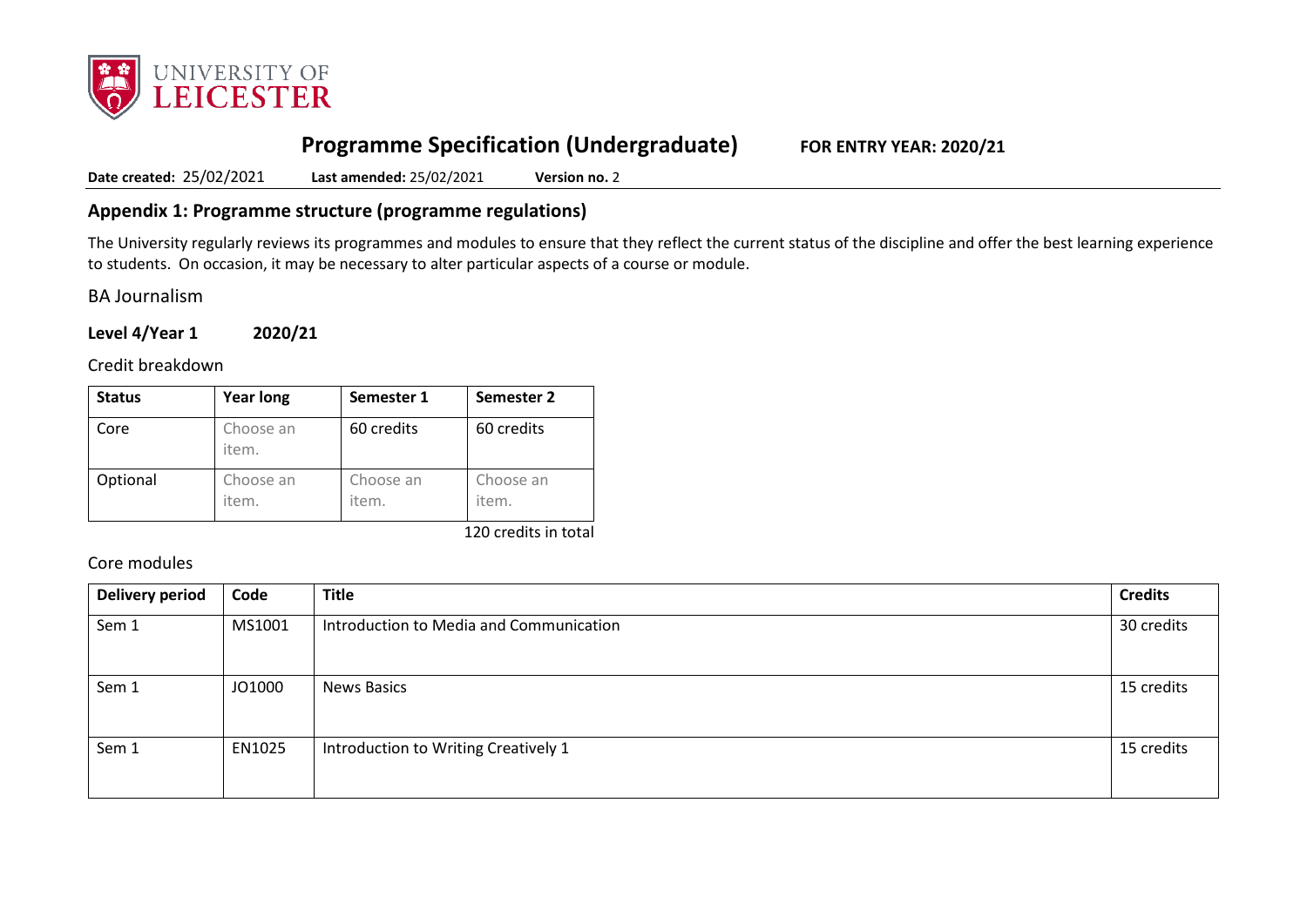

# **Programme Specification (Undergraduate) FOR ENTRY YEAR: 2020/21**

**Date created:** 25/02/2021 **Last amended:** 25/02/2021 **Version no.** 2

### **Appendix 1: Programme structure (programme regulations)**

The University regularly reviews its programmes and modules to ensure that they reflect the current status of the discipline and offer the best learning experience to students. On occasion, it may be necessary to alter particular aspects of a course or module.

BA Journalism

**Level 4/Year 1 2020/21**

Credit breakdown

| <b>Status</b> | <b>Year long</b>   | Semester 1         | Semester 2         |
|---------------|--------------------|--------------------|--------------------|
| Core          | Choose an<br>item. | 60 credits         | 60 credits         |
| Optional      | Choose an<br>item. | Choose an<br>item. | Choose an<br>item. |

120 credits in total

Core modules

| <b>Delivery period</b> | Code   | <b>Title</b>                            | <b>Credits</b> |
|------------------------|--------|-----------------------------------------|----------------|
| Sem 1                  | MS1001 | Introduction to Media and Communication |                |
| Sem 1                  | JO1000 | <b>News Basics</b>                      |                |
| Sem 1                  | EN1025 | Introduction to Writing Creatively 1    |                |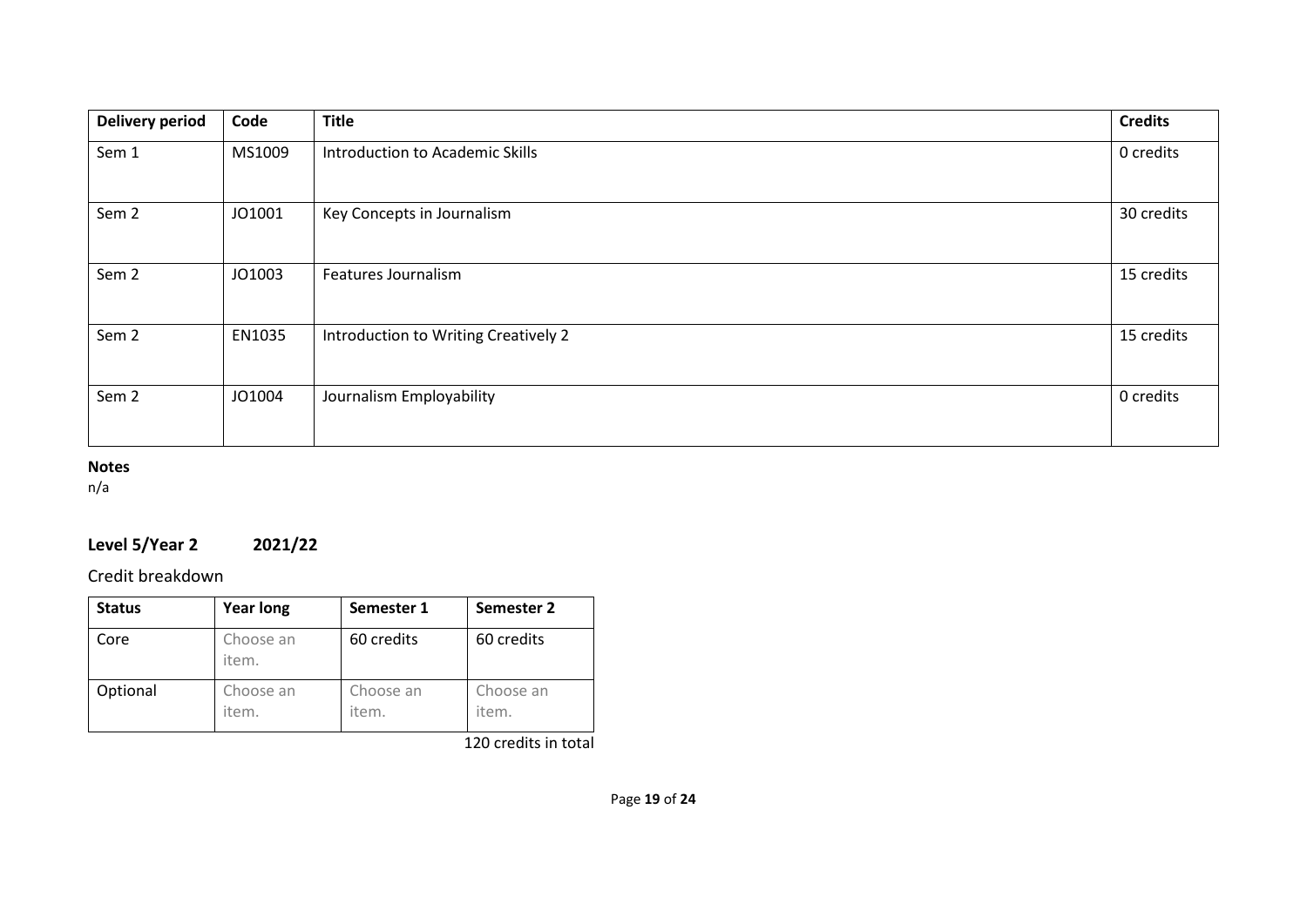| <b>Delivery period</b> | Code   | <b>Title</b>                         | <b>Credits</b> |
|------------------------|--------|--------------------------------------|----------------|
| Sem 1                  | MS1009 | Introduction to Academic Skills      | 0 credits      |
| Sem <sub>2</sub>       | JO1001 | Key Concepts in Journalism           | 30 credits     |
| Sem <sub>2</sub>       | JO1003 | Features Journalism                  | 15 credits     |
| Sem <sub>2</sub>       | EN1035 | Introduction to Writing Creatively 2 | 15 credits     |
| Sem <sub>2</sub>       | JO1004 | Journalism Employability             | 0 credits      |

### **Notes**

n/a

# **Level 5/Year 2 2021/22**

Credit breakdown

| <b>Status</b> | <b>Year long</b>   | Semester 1         | Semester 2         |
|---------------|--------------------|--------------------|--------------------|
| Core          | Choose an<br>item. | 60 credits         | 60 credits         |
| Optional      | Choose an<br>item. | Choose an<br>item. | Choose an<br>item. |

120 credits in total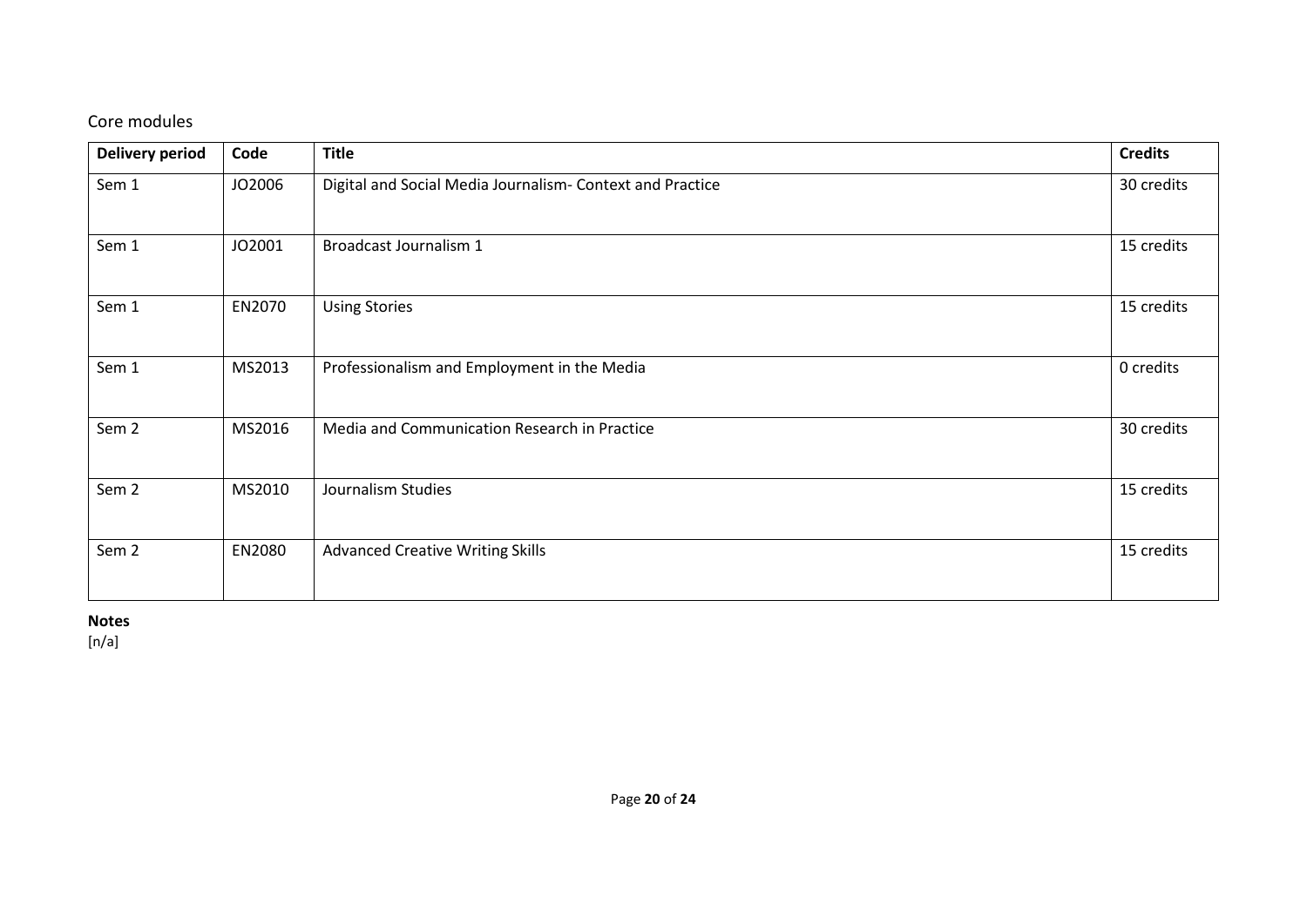# Core modules

| <b>Delivery period</b> | Code   | <b>Title</b>                                              |            |  |
|------------------------|--------|-----------------------------------------------------------|------------|--|
| Sem 1                  | JO2006 | Digital and Social Media Journalism- Context and Practice | 30 credits |  |
| Sem 1                  | JO2001 | Broadcast Journalism 1                                    | 15 credits |  |
| Sem 1                  | EN2070 | <b>Using Stories</b>                                      | 15 credits |  |
| Sem 1                  | MS2013 | Professionalism and Employment in the Media               | 0 credits  |  |
| Sem <sub>2</sub>       | MS2016 | Media and Communication Research in Practice              | 30 credits |  |
| Sem <sub>2</sub>       | MS2010 | Journalism Studies                                        |            |  |
| Sem <sub>2</sub>       | EN2080 | <b>Advanced Creative Writing Skills</b>                   | 15 credits |  |

**Notes**

[n/a]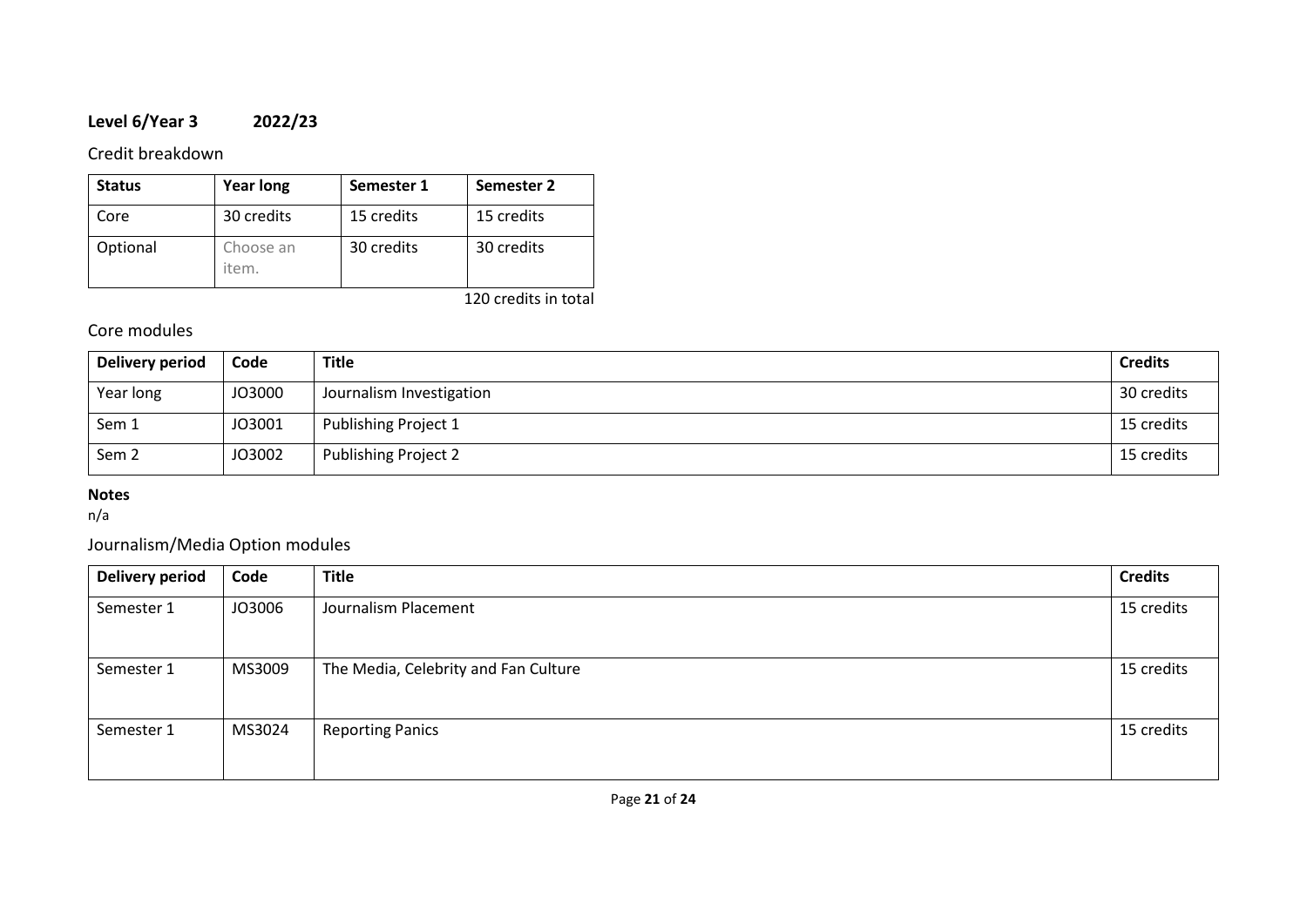# **Level 6/Year 3 2022/23**

### Credit breakdown

| <b>Status</b> | <b>Year long</b>   | Semester 1 | Semester 2 |
|---------------|--------------------|------------|------------|
| Core          | 30 credits         | 15 credits | 15 credits |
| Optional      | Choose an<br>item. | 30 credits | 30 credits |

120 credits in total

# Core modules

| Delivery period  | Code   | Title                       | <b>Credits</b> |
|------------------|--------|-----------------------------|----------------|
| Year long        | JO3000 | Journalism Investigation    | 30 credits     |
| Sem 1            | JO3001 | Publishing Project 1        | 15 credits     |
| Sem <sub>2</sub> | JO3002 | <b>Publishing Project 2</b> | 15 credits     |

## **Notes**

n/a

# Journalism/Media Option modules

| <b>Delivery period</b> | Code   | <b>Title</b>                         | <b>Credits</b> |
|------------------------|--------|--------------------------------------|----------------|
| Semester 1             | JO3006 | Journalism Placement                 | 15 credits     |
| Semester 1             | MS3009 | The Media, Celebrity and Fan Culture | 15 credits     |
| Semester 1             | MS3024 | <b>Reporting Panics</b>              | 15 credits     |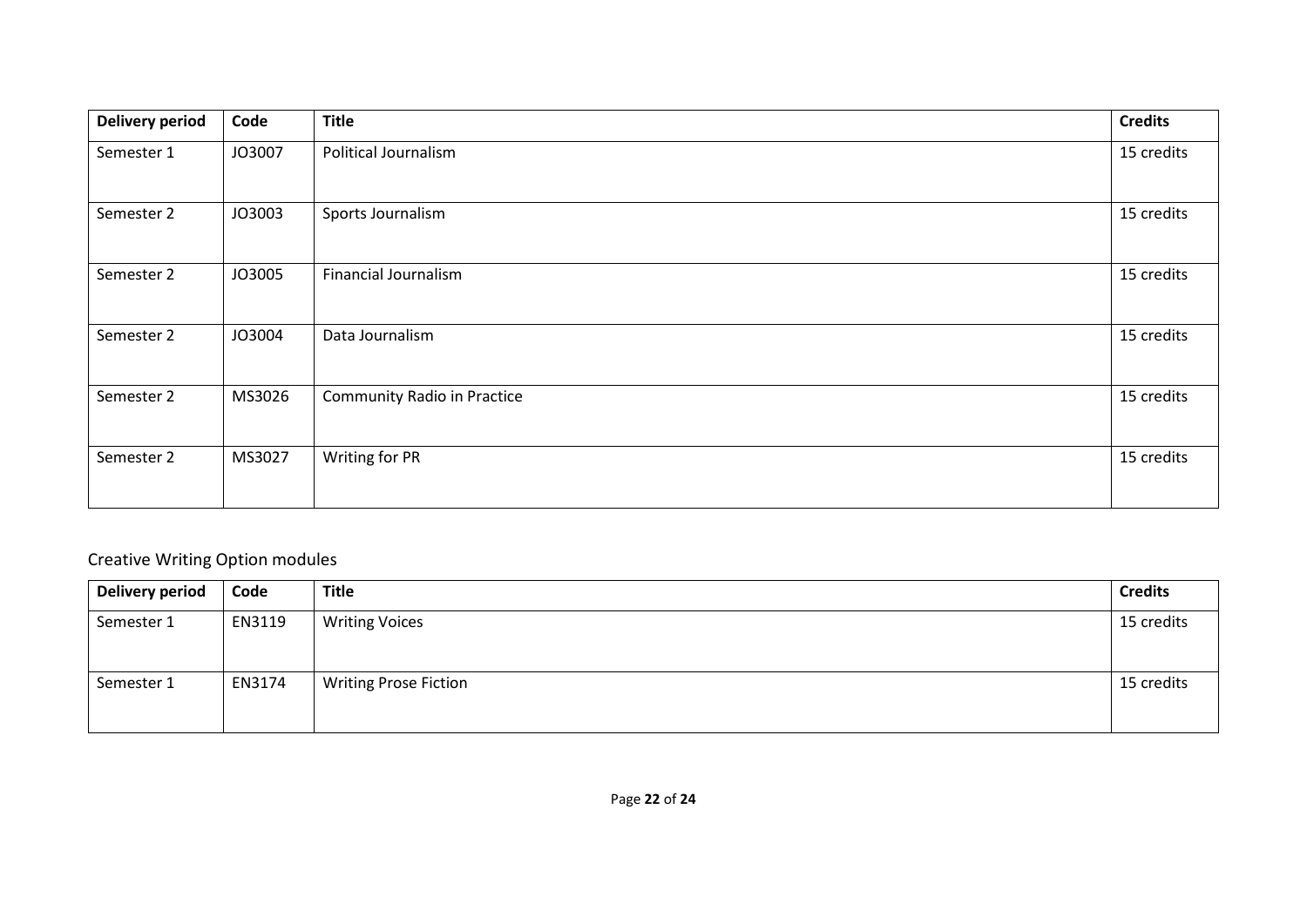| <b>Delivery period</b> | Code   | <b>Title</b>                       | <b>Credits</b> |
|------------------------|--------|------------------------------------|----------------|
| Semester 1             | JO3007 | Political Journalism               | 15 credits     |
| Semester 2             | JO3003 | Sports Journalism                  | 15 credits     |
| Semester 2             | JO3005 | <b>Financial Journalism</b>        | 15 credits     |
| Semester 2             | JO3004 | Data Journalism                    | 15 credits     |
| Semester 2             | MS3026 | <b>Community Radio in Practice</b> | 15 credits     |
| Semester 2             | MS3027 | Writing for PR                     | 15 credits     |

# Creative Writing Option modules

| Delivery period | Code   | <b>Title</b>                 | <b>Credits</b> |
|-----------------|--------|------------------------------|----------------|
| Semester 1      | EN3119 | <b>Writing Voices</b>        | 15 credits     |
| Semester 1      | EN3174 | <b>Writing Prose Fiction</b> | 15 credits     |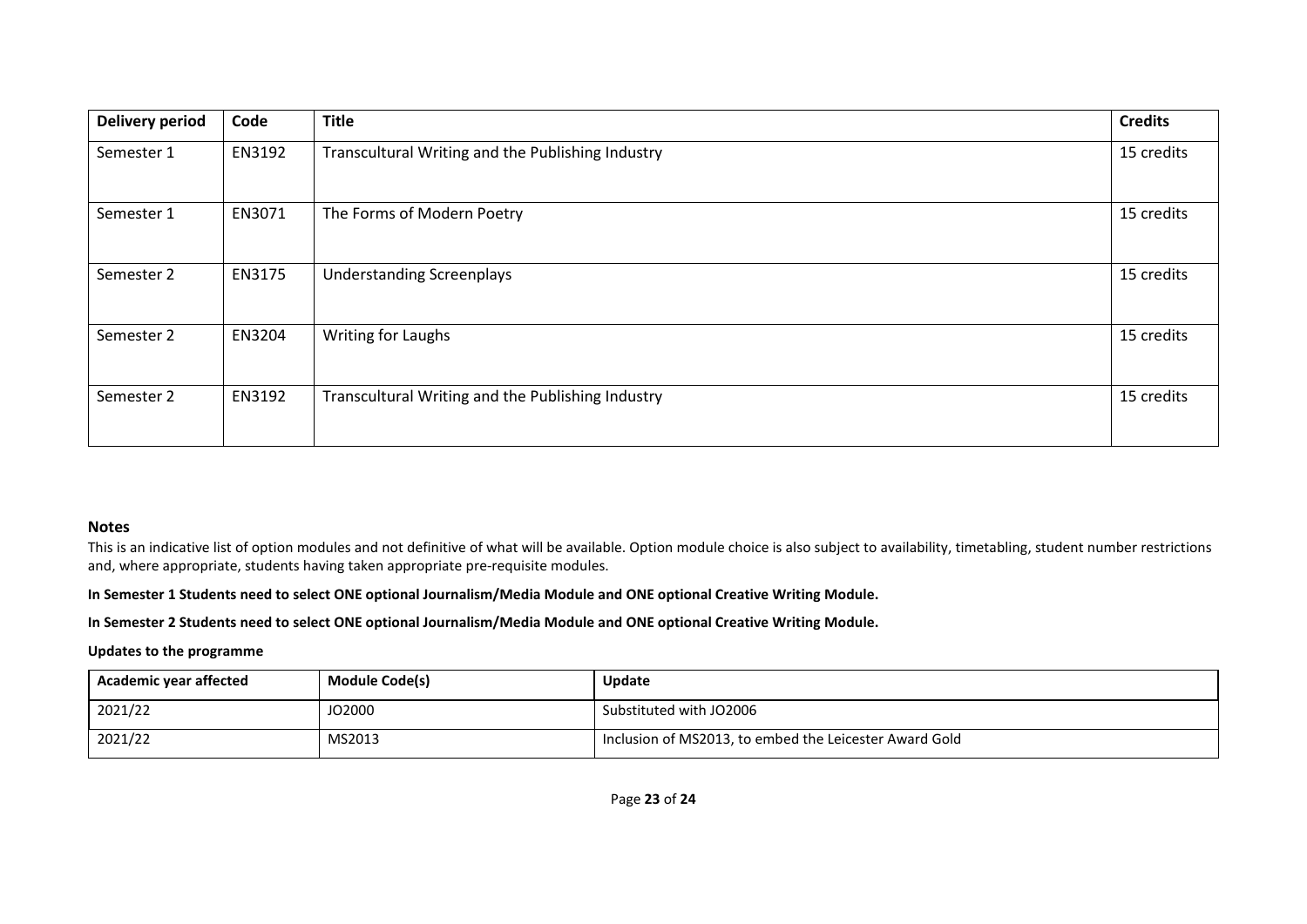| <b>Delivery period</b> | Code   | <b>Title</b>                                      |            |
|------------------------|--------|---------------------------------------------------|------------|
| Semester 1             | EN3192 | Transcultural Writing and the Publishing Industry |            |
| Semester 1             | EN3071 | The Forms of Modern Poetry                        | 15 credits |
| Semester 2             | EN3175 | <b>Understanding Screenplays</b>                  |            |
| Semester 2             | EN3204 | Writing for Laughs                                |            |
| Semester 2             | EN3192 | Transcultural Writing and the Publishing Industry |            |

#### **Notes**

This is an indicative list of option modules and not definitive of what will be available. Option module choice is also subject to availability, timetabling, student number restrictions and, where appropriate, students having taken appropriate pre-requisite modules.

#### **In Semester 1 Students need to select ONE optional Journalism/Media Module and ONE optional Creative Writing Module.**

#### **In Semester 2 Students need to select ONE optional Journalism/Media Module and ONE optional Creative Writing Module.**

#### **Updates to the programme**

| Academic year affected | <b>Module Code(s)</b> | <b>Update</b>                                          |
|------------------------|-----------------------|--------------------------------------------------------|
| 2021/22                | JO2000                | Substituted with JO2006                                |
| 2021/22                | MS2013                | Inclusion of MS2013, to embed the Leicester Award Gold |